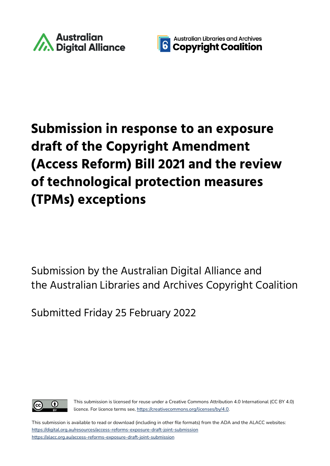



# **Submission in response to an exposure draft of the Copyright Amendment (Access Reform) Bill 2021 and the review of technological protection measures (TPMs) exceptions**

Submission by the Australian Digital Alliance and the Australian Libraries and Archives Copyright Coalition

Submitted Friday 25 February 2022



This submission is licensed for reuse under a Creative Commons Attribution 4.0 International (CC BY 4.0) licence. For licence terms see, [https://creativecommons.org/licenses/by/4.0](https://creativecommons.org/licenses/by/4.0/).

This submission is available to read or download (including in other file formats) from the ADA and the ALACC websites: <https://digital.org.au/resources/access-reforms-exposure-draft-joint-submission> <https://alacc.org.au/access-reforms-exposure-draft-joint-submission>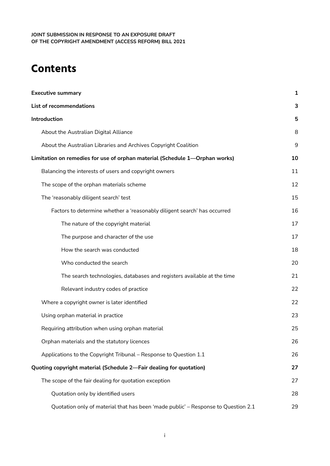# **Contents**

| <b>Executive summary</b>                                                          | 1  |
|-----------------------------------------------------------------------------------|----|
| List of recommendations                                                           | 3  |
| Introduction                                                                      |    |
| About the Australian Digital Alliance                                             | 8  |
| About the Australian Libraries and Archives Copyright Coalition                   | 9  |
| Limitation on remedies for use of orphan material (Schedule 1-Orphan works)       | 10 |
| Balancing the interests of users and copyright owners                             | 11 |
| The scope of the orphan materials scheme                                          | 12 |
| The 'reasonably diligent search' test                                             | 15 |
| Factors to determine whether a 'reasonably diligent search' has occurred          | 16 |
| The nature of the copyright material                                              | 17 |
| The purpose and character of the use                                              | 17 |
| How the search was conducted                                                      | 18 |
| Who conducted the search                                                          | 20 |
| The search technologies, databases and registers available at the time            | 21 |
| Relevant industry codes of practice                                               | 22 |
| Where a copyright owner is later identified                                       | 22 |
| Using orphan material in practice                                                 | 23 |
| Requiring attribution when using orphan material                                  | 25 |
| Orphan materials and the statutory licences                                       | 26 |
| Applications to the Copyright Tribunal - Response to Question 1.1                 | 26 |
| Quoting copyright material (Schedule 2-Fair dealing for quotation)                | 27 |
| The scope of the fair dealing for quotation exception                             | 27 |
| Quotation only by identified users                                                | 28 |
| Quotation only of material that has been 'made public' - Response to Question 2.1 | 29 |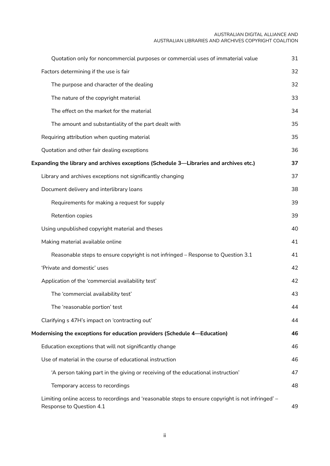#### AUSTRALIAN DIGITAL ALLIANCE AND AUSTRALIAN LIBRARIES AND ARCHIVES COPYRIGHT COALITION

| Quotation only for noncommercial purposes or commercial uses of immaterial value                                               | 31 |
|--------------------------------------------------------------------------------------------------------------------------------|----|
| Factors determining if the use is fair                                                                                         | 32 |
| The purpose and character of the dealing                                                                                       | 32 |
| The nature of the copyright material                                                                                           | 33 |
| The effect on the market for the material                                                                                      | 34 |
| The amount and substantiality of the part dealt with                                                                           | 35 |
| Requiring attribution when quoting material                                                                                    | 35 |
| Quotation and other fair dealing exceptions                                                                                    | 36 |
| Expanding the library and archives exceptions (Schedule 3—Libraries and archives etc.)                                         | 37 |
| Library and archives exceptions not significantly changing                                                                     | 37 |
| Document delivery and interlibrary loans                                                                                       | 38 |
| Requirements for making a request for supply                                                                                   | 39 |
| Retention copies                                                                                                               | 39 |
| Using unpublished copyright material and theses                                                                                | 40 |
| Making material available online                                                                                               | 41 |
| Reasonable steps to ensure copyright is not infringed – Response to Question 3.1                                               | 41 |
| 'Private and domestic' uses                                                                                                    | 42 |
| Application of the 'commercial availability test'                                                                              | 42 |
| The 'commercial availability test'                                                                                             | 43 |
| The 'reasonable portion' test                                                                                                  | 44 |
| Clarifying s 47H's impact on 'contracting out'                                                                                 | 44 |
| Modernising the exceptions for education providers (Schedule 4—Education)                                                      | 46 |
| Education exceptions that will not significantly change                                                                        | 46 |
| Use of material in the course of educational instruction                                                                       | 46 |
| 'A person taking part in the giving or receiving of the educational instruction'                                               | 47 |
| Temporary access to recordings                                                                                                 | 48 |
| Limiting online access to recordings and 'reasonable steps to ensure copyright is not infringed' –<br>Response to Question 4.1 | 49 |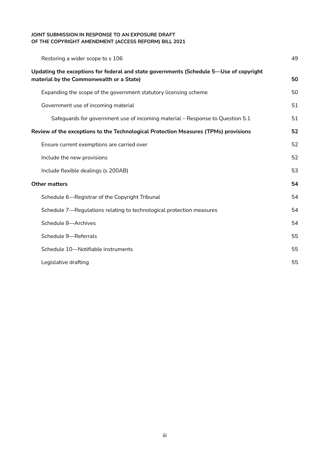|                                                                                                                                    | Restoring a wider scope to s 106                                              | 49 |
|------------------------------------------------------------------------------------------------------------------------------------|-------------------------------------------------------------------------------|----|
| Updating the exceptions for federal and state governments (Schedule 5-Use of copyright<br>material by the Commonwealth or a State) |                                                                               | 50 |
|                                                                                                                                    | Expanding the scope of the government statutory licensing scheme              | 50 |
|                                                                                                                                    | Government use of incoming material                                           | 51 |
|                                                                                                                                    | Safeguards for government use of incoming material – Response to Question 5.1 | 51 |
| Review of the exceptions to the Technological Protection Measures (TPMs) provisions                                                |                                                                               | 52 |
|                                                                                                                                    | Ensure current exemptions are carried over                                    | 52 |
|                                                                                                                                    | Include the new provisions                                                    | 52 |
|                                                                                                                                    | Include flexible dealings (s 200AB)                                           | 53 |
|                                                                                                                                    | <b>Other matters</b>                                                          |    |
|                                                                                                                                    | Schedule 6-Registrar of the Copyright Tribunal                                | 54 |
|                                                                                                                                    | Schedule 7—Regulations relating to technological protection measures          | 54 |
|                                                                                                                                    | Schedule 8-Archives                                                           | 54 |
|                                                                                                                                    | Schedule 9-Referrals                                                          | 55 |
|                                                                                                                                    | Schedule 10-Notifiable instruments                                            | 55 |
|                                                                                                                                    | Legislative drafting                                                          | 55 |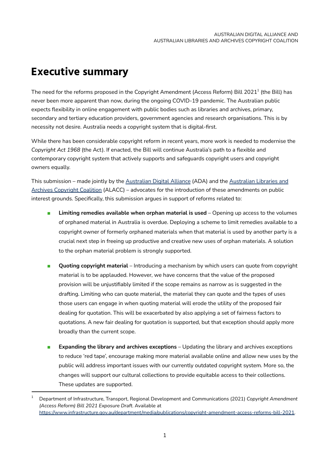## <span id="page-4-0"></span>**Executive summary**

The need for the reforms proposed in the Copyright Amendment (Access Reform) Bill 2021 $^{\rm 1}$  (the Bill) has never been more apparent than now, during the ongoing COVID-19 pandemic. The Australian public expects flexibility in online engagement with public bodies such as libraries and archives, primary, secondary and tertiary education providers, government agencies and research organisations. This is by necessity not desire. Australia needs a copyright system that is digital-first.

While there has been considerable copyright reform in recent years, more work is needed to modernise the *Copyright Act 1968* (the Act). If enacted, the Bill will continue Australia's path to a flexible and contemporary copyright system that actively supports and safeguards copyright users and copyright owners equally.

This submission – made jointly by the [Australian](https://digital.org.au/) Digital Alliance (ADA) and the [Australian](https://alacc.org.au/) Libraries and Archives [Copyright](https://alacc.org.au/) Coalition (ALACC) – advocates for the introduction of these amendments on public interest grounds. Specifically, this submission argues in support of reforms related to:

- **Limiting remedies available when orphan material is used** Opening up access to the volumes of orphaned material in Australia is overdue. Deploying a scheme to limit remedies available to a copyright owner of formerly orphaned materials when that material is used by another party is a crucial next step in freeing up productive and creative new uses of orphan materials. A solution to the orphan material problem is strongly supported.
- **Quoting copyright material** Introducing a mechanism by which users can quote from copyright material is to be applauded. However, we have concerns that the value of the proposed provision will be unjustifiably limited if the scope remains as narrow as is suggested in the drafting. Limiting who can quote material, the material they can quote and the types of uses those users can engage in when quoting material will erode the utility of the proposed fair dealing for quotation. This will be exacerbated by also applying a set of fairness factors to quotations. A new fair dealing for quotation is supported, but that exception should apply more broadly than the current scope.
- **Expanding the library and archives exceptions** Updating the library and archives exceptions to reduce 'red tape', encourage making more material available online and allow new uses by the public will address important issues with our currently outdated copyright system. More so, the changes will support our cultural collections to provide equitable access to their collections. These updates are supported.

<sup>1</sup> Department of Infrastructure, Transport, Regional Development and Communications (2021) *Copyright Amendment (Access Reform) Bill 2021 Exposure Draft*. Available at [https://www.infrastructure.gov.au/department/media/publications/copyright-amendment-access-reforms-bill-2021.](https://www.infrastructure.gov.au/department/media/publications/copyright-amendment-access-reforms-bill-2021)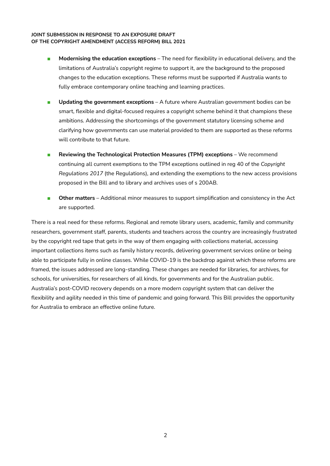- **Modernising the education exceptions** The need for flexibility in educational delivery, and the limitations of Australia's copyright regime to support it, are the background to the proposed changes to the education exceptions. These reforms must be supported if Australia wants to fully embrace contemporary online teaching and learning practices.
- **Updating the government exceptions** A future where Australian government bodies can be smart, flexible and digital-focused requires a copyright scheme behind it that champions these ambitions. Addressing the shortcomings of the government statutory licensing scheme and clarifying how governments can use material provided to them are supported as these reforms will contribute to that future.
- **Reviewing the Technological Protection Measures (TPM) exceptions** We recommend continuing all current exemptions to the TPM exceptions outlined in reg 40 of the *Copyright Regulations 2017* (the Regulations), and extending the exemptions to the new access provisions proposed in the Bill and to library and archives uses of s 200AB.
- **Other matters** Additional minor measures to support simplification and consistency in the Act are supported.

There is a real need for these reforms. Regional and remote library users, academic, family and community researchers, government staff, parents, students and teachers across the country are increasingly frustrated by the copyright red tape that gets in the way of them engaging with collections material, accessing important collections items such as family history records, delivering government services online or being able to participate fully in online classes. While COVID-19 is the backdrop against which these reforms are framed, the issues addressed are long-standing. These changes are needed for libraries, for archives, for schools, for universities, for researchers of all kinds, for governments and for the Australian public. Australia's post-COVID recovery depends on a more modern copyright system that can deliver the flexibility and agility needed in this time of pandemic and going forward. This Bill provides the opportunity for Australia to embrace an effective online future.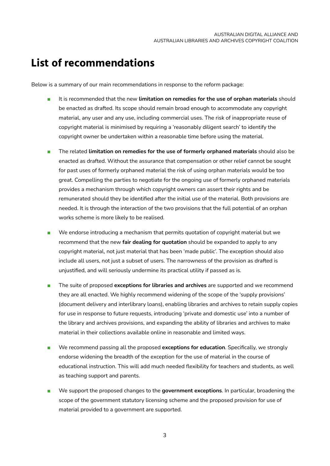## <span id="page-6-0"></span>**List of recommendations**

Below is a summary of our main recommendations in response to the reform package:

- It is recommended that the new **limitation on remedies for the use of orphan materials** should be enacted as drafted. Its scope should remain broad enough to accommodate any copyright material, any user and any use, including commercial uses. The risk of inappropriate reuse of copyright material is minimised by requiring a 'reasonably diligent search' to identify the copyright owner be undertaken within a reasonable time before using the material.
- The related **limitation on remedies for the use of formerly orphaned materials** should also be enacted as drafted. Without the assurance that compensation or other relief cannot be sought for past uses of formerly orphaned material the risk of using orphan materials would be too great. Compelling the parties to negotiate for the ongoing use of formerly orphaned materials provides a mechanism through which copyright owners can assert their rights and be remunerated should they be identified after the initial use of the material. Both provisions are needed. It is through the interaction of the two provisions that the full potential of an orphan works scheme is more likely to be realised.
- We endorse introducing a mechanism that permits quotation of copyright material but we recommend that the new **fair dealing for quotation** should be expanded to apply to any copyright material, not just material that has been 'made public'. The exception should also include all users, not just a subset of users. The narrowness of the provision as drafted is unjustified, and will seriously undermine its practical utility if passed as is.
- The suite of proposed **exceptions for libraries and archives** are supported and we recommend they are all enacted. We highly recommend widening of the scope of the 'supply provisions' (document delivery and interlibrary loans), enabling libraries and archives to retain supply copies for use in response to future requests, introducing 'private and domestic use' into a number of the library and archives provisions, and expanding the ability of libraries and archives to make material in their collections available online in reasonable and limited ways.
- We recommend passing all the proposed **exceptions for education**. Specifically, we strongly endorse widening the breadth of the exception for the use of material in the course of educational instruction. This will add much needed flexibility for teachers and students, as well as teaching support and parents.
- We support the proposed changes to the **government exceptions**. In particular, broadening the scope of the government statutory licensing scheme and the proposed provision for use of material provided to a government are supported.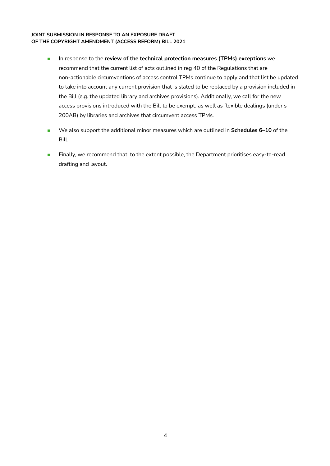- In response to the **review of the technical protection measures (TPMs) exceptions** we recommend that the current list of acts outlined in reg 40 of the Regulations that are non-actionable circumventions of access control TPMs continue to apply and that list be updated to take into account any current provision that is slated to be replaced by a provision included in the Bill (e.g. the updated library and archives provisions). Additionally, we call for the new access provisions introduced with the Bill to be exempt, as well as flexible dealings (under s 200AB) by libraries and archives that circumvent access TPMs.
- We also support the additional minor measures which are outlined in **Schedules 6–10** of the Bill.
- Finally, we recommend that, to the extent possible, the Department prioritises easy-to-read drafting and layout.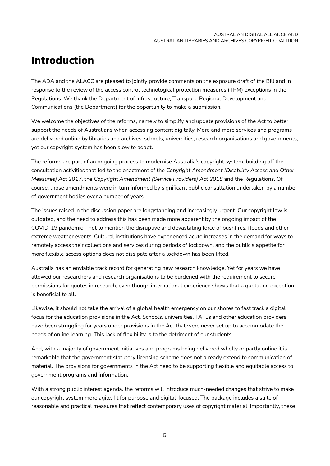## <span id="page-8-0"></span>**Introduction**

The ADA and the ALACC are pleased to jointly provide comments on the exposure draft of the Bill and in response to the review of the access control technological protection measures (TPM) exceptions in the Regulations. We thank the Department of Infrastructure, Transport, Regional Development and Communications (the Department) for the opportunity to make a submission.

We welcome the objectives of the reforms, namely to simplify and update provisions of the Act to better support the needs of Australians when accessing content digitally. More and more services and programs are delivered online by libraries and archives, schools, universities, research organisations and governments, yet our copyright system has been slow to adapt.

The reforms are part of an ongoing process to modernise Australia's copyright system, building off the consultation activities that led to the enactment of the *Copyright Amendment (Disability Access and Other Measures) Act 2017*, the *Copyright Amendment (Service Providers) Act 2018* and the Regulations. Of course, those amendments were in turn informed by significant public consultation undertaken by a number of government bodies over a number of years.

The issues raised in the discussion paper are longstanding and increasingly urgent. Our copyright law is outdated, and the need to address this has been made more apparent by the ongoing impact of the COVID-19 pandemic – not to mention the disruptive and devastating force of bushfires, floods and other extreme weather events. Cultural institutions have experienced acute increases in the demand for ways to remotely access their collections and services during periods of lockdown, and the public's appetite for more flexible access options does not dissipate after a lockdown has been lifted.

Australia has an enviable track record for generating new research knowledge. Yet for years we have allowed our researchers and research organisations to be burdened with the requirement to secure permissions for quotes in research, even though international experience shows that a quotation exception is beneficial to all.

Likewise, it should not take the arrival of a global health emergency on our shores to fast track a digital focus for the education provisions in the Act. Schools, universities, TAFEs and other education providers have been struggling for years under provisions in the Act that were never set up to accommodate the needs of online learning. This lack of flexibility is to the detriment of our students.

And, with a majority of government initiatives and programs being delivered wholly or partly online it is remarkable that the government statutory licensing scheme does not already extend to communication of material. The provisions for governments in the Act need to be supporting flexible and equitable access to government programs and information.

With a strong public interest agenda, the reforms will introduce much-needed changes that strive to make our copyright system more agile, fit for purpose and digital-focused. The package includes a suite of reasonable and practical measures that reflect contemporary uses of copyright material. Importantly, these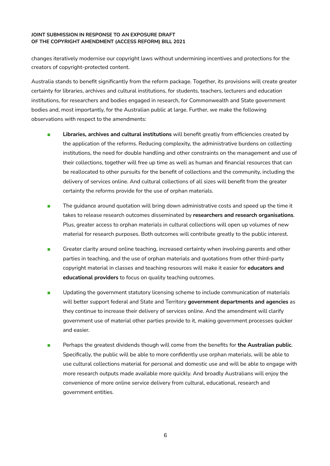changes iteratively modernise our copyright laws without undermining incentives and protections for the creators of copyright-protected content.

Australia stands to benefit significantly from the reform package. Together, its provisions will create greater certainty for libraries, archives and cultural institutions, for students, teachers, lecturers and education institutions, for researchers and bodies engaged in research, for Commonwealth and State government bodies and, most importantly, for the Australian public at large. Further, we make the following observations with respect to the amendments:

- **Libraries, archives and cultural institutions** will benefit greatly from efficiencies created by the application of the reforms. Reducing complexity, the administrative burdens on collecting institutions, the need for double handling and other constraints on the management and use of their collections, together will free up time as well as human and financial resources that can be reallocated to other pursuits for the benefit of collections and the community, including the delivery of services online. And cultural collections of all sizes will benefit from the greater certainty the reforms provide for the use of orphan materials.
- The guidance around quotation will bring down administrative costs and speed up the time it takes to release research outcomes disseminated by **researchers and research organisations**. Plus, greater access to orphan materials in cultural collections will open up volumes of new material for research purposes. Both outcomes will contribute greatly to the public interest.
- Greater clarity around online teaching, increased certainty when involving parents and other parties in teaching, and the use of orphan materials and quotations from other third-party copyright material in classes and teaching resources will make it easier for **educators and educational providers** to focus on quality teaching outcomes.
- **■** Updating the government statutory licensing scheme to include communication of materials will better support federal and State and Territory **government departments and agencies** as they continue to increase their delivery of services online. And the amendment will clarify government use of material other parties provide to it, making government processes quicker and easier.
- Perhaps the greatest dividends though will come from the benefits for **the Australian public**. Specifically, the public will be able to more confidently use orphan materials, will be able to use cultural collections material for personal and domestic use and will be able to engage with more research outputs made available more quickly. And broadly Australians will enjoy the convenience of more online service delivery from cultural, educational, research and government entities.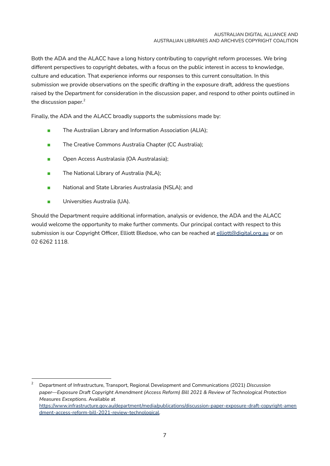Both the ADA and the ALACC have a long history contributing to copyright reform processes. We bring different perspectives to copyright debates, with a focus on the public interest in access to knowledge, culture and education. That experience informs our responses to this current consultation. In this submission we provide observations on the specific drafting in the exposure draft, address the questions raised by the Department for consideration in the discussion paper, and respond to other points outlined in the discussion paper.<sup>2</sup>

Finally, the ADA and the ALACC broadly supports the submissions made by:

- The Australian Library and Information Association (ALIA);
- The Creative Commons Australia Chapter (CC Australia);
- Open Access Australasia (OA Australasia);
- The National Library of Australia (NLA);
- National and State Libraries Australasia (NSLA); and
- Universities Australia (UA).

Should the Department require additional information, analysis or evidence, the ADA and the ALACC would welcome the opportunity to make further comments. Our principal contact with respect to this submission is our Copyright Officer, Elliott Bledsoe, who can be reached at [elliott@digital.org.au](mailto:elliott@digital.org.au) or on 02 6262 1118.

<sup>2</sup> Department of Infrastructure, Transport, Regional Development and Communications (2021) *Discussion paper—Exposure Draft Copyright Amendment (Access Reform) Bill 2021 & Review of Technological Protection Measures Exceptions*. Available at [https://www.infrastructure.gov.au/department/media/publications/discussion-paper-exposure-draft-copyright-amen](https://www.infrastructure.gov.au/department/media/publications/discussion-paper-exposure-draft-copyright-amendment-access-reform-bill-2021-review-technological) [dment-access-reform-bill-2021-review-technological.](https://www.infrastructure.gov.au/department/media/publications/discussion-paper-exposure-draft-copyright-amendment-access-reform-bill-2021-review-technological)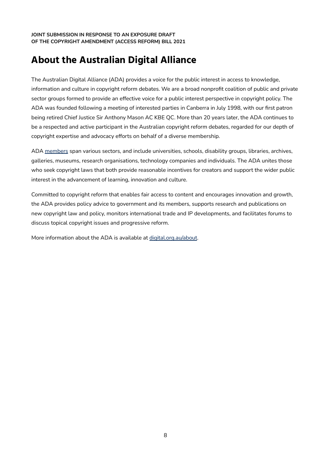## <span id="page-11-0"></span>**About the Australian Digital Alliance**

The Australian Digital Alliance (ADA) provides a voice for the public interest in access to knowledge, information and culture in copyright reform debates. We are a broad nonprofit coalition of public and private sector groups formed to provide an effective voice for a public interest perspective in copyright policy. The ADA was founded following a meeting of interested parties in Canberra in July 1998, with our first patron being retired Chief Justice Sir Anthony Mason AC KBE QC. More than 20 years later, the ADA continues to be a respected and active participant in the Australian copyright reform debates, regarded for our depth of copyright expertise and advocacy efforts on behalf of a diverse membership.

ADA [members](https://digital.org.au/about/members/) span various sectors, and include universities, schools, disability groups, libraries, archives, galleries, museums, research organisations, technology companies and individuals. The ADA unites those who seek copyright laws that both provide reasonable incentives for creators and support the wider public interest in the advancement of learning, innovation and culture.

Committed to copyright reform that enables fair access to content and encourages innovation and growth, the ADA provides policy advice to government and its members, supports research and publications on new copyright law and policy, monitors international trade and IP developments, and facilitates forums to discuss topical copyright issues and progressive reform.

More information about the ADA is available at [digital.org.au/about](https://digital.org.au/about).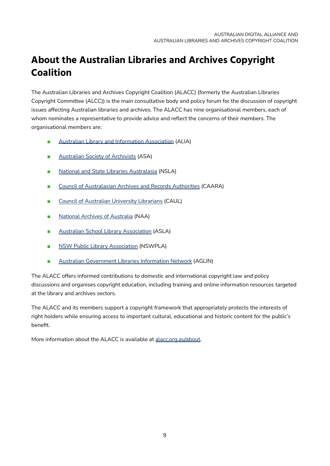## <span id="page-12-0"></span>**About the Australian Libraries and Archives Copyright Coalition**

The Australian Libraries and Archives Copyright Coalition (ALACC) (formerly the Australian Libraries Copyright Committee (ALCC)) is the main consultative body and policy forum for the discussion of copyright issues affecting Australian libraries and archives. The ALACC has nine organisational members, each of whom nominates a representative to provide advice and reflect the concerns of their members. The organisational members are:

- Australian Library and Information [Association](http://www.alia.org.au/) (ALIA)
- [Australian](https://www.archivists.org.au/) Society of Archivists (ASA)
- National and State Libraries [Australasia](http://www.nsla.org.au/) (NSLA)
- Council of [Australasian](https://www.caara.org.au/) Archives and Records Authorities (CAARA)
- Council of [Australian](http://www.caul.edu.au/) University Librarians (CAUL)
- National Archives of [Australia](http://www.naa.gov.au/) (NAA)
- Australian School Library [Association](http://www.asla.org.au/) (ASLA)
- NSW Public Library [Association](https://nswpla.org.au/) (NSWPLA)
- Australian [Government](https://www.alia.org.au/Web/Our-Members/Communities/Our-Communities/ALIA_Australian_Government_Library_and_Information_Network.aspx) Libraries Information Network (AGLIN)

The ALACC offers informed contributions to domestic and international copyright law and policy discussions and organises copyright education, including training and online information resources targeted at the library and archives sectors.

The ALACC and its members support a copyright framework that appropriately protects the interests of right holders while ensuring access to important cultural, educational and historic content for the public's benefit.

More information about the ALACC is available at [alacc.org.au/about.](https://alacc.org.au/about)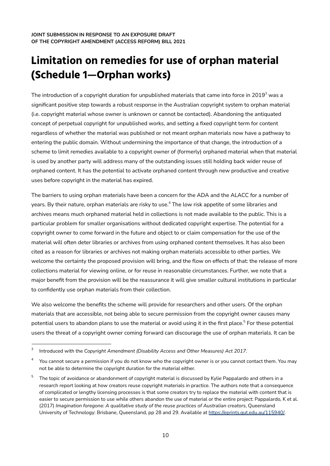# <span id="page-13-0"></span>**Limitation on remedies for use of orphan material (Schedule 1—Orphan works)**

The introduction of a copyright duration for unpublished materials that came into force in 2019 $^{\rm 3}$  was a significant positive step towards a robust response in the Australian copyright system to orphan material (i.e. copyright material whose owner is unknown or cannot be contacted). Abandoning the antiquated concept of perpetual copyright for unpublished works, and setting a fixed copyright term for content regardless of whether the material was published or not meant orphan materials now have a pathway to entering the public domain. Without undermining the importance of that change, the introduction of a scheme to limit remedies available to a copyright owner of (formerly) orphaned material when that material is used by another party will address many of the outstanding issues still holding back wider reuse of orphaned content. It has the potential to activate orphaned content through new productive and creative uses before copyright in the material has expired.

The barriers to using orphan materials have been a concern for the ADA and the ALACC for a number of years. By their nature, orphan materials are risky to use. <sup>4</sup> The low risk appetite of some libraries and archives means much orphaned material held in collections is not made available to the public. This is a particular problem for smaller organisations without dedicated copyright expertise. The potential for a copyright owner to come forward in the future and object to or claim compensation for the use of the material will often deter libraries or archives from using orphaned content themselves. It has also been cited as a reason for libraries or archives not making orphan materials accessible to other parties. We welcome the certainty the proposed provision will bring, and the flow on effects of that: the release of more collections material for viewing online, or for reuse in reasonable circumstances. Further, we note that a major benefit from the provision will be the reassurance it will give smaller cultural institutions in particular to confidently use orphan materials from their collection.

We also welcome the benefits the scheme will provide for researchers and other users. Of the orphan materials that are accessible, not being able to secure permission from the copyright owner causes many potential users to abandon plans to use the material or avoid using it in the first place.<sup>5</sup> For these potential users the threat of a copyright owner coming forward can discourage the use of orphan materials. It can be

<sup>3</sup> Introduced with the *Copyright Amendment (Disability Access and Other Measures) Act 2017*.

 $4$  You cannot secure a permission if you do not know who the copyright owner is or you cannot contact them. You may not be able to determine the copyright duration for the material either.

<sup>&</sup>lt;sup>5</sup> The topic of avoidance or abandonment of copyright material is discussed by Kylie Pappalardo and others in a research report looking at how creators reuse copyright materials in practice. The authors note that a consequence of complicated or lengthy licensing processes is that some creators try to replace the material with content that is easier to secure permission to use while others abandon the use of material or the entire project: Pappalardo, K et al. (2017) *Imagination foregone: A qualitative study of the reuse practices of Australian creators*, Queensland University of Technology: Brisbane, Queensland, pp 28 and 29. Available at <https://eprints.qut.edu.au/115940/>.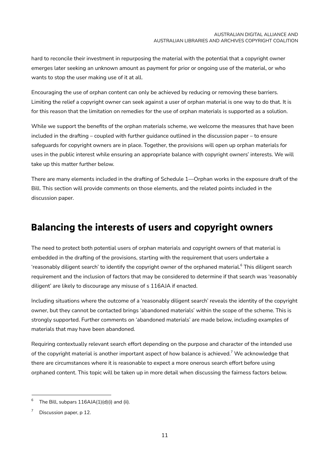hard to reconcile their investment in repurposing the material with the potential that a copyright owner emerges later seeking an unknown amount as payment for prior or ongoing use of the material, or who wants to stop the user making use of it at all.

Encouraging the use of orphan content can only be achieved by reducing or removing these barriers. Limiting the relief a copyright owner can seek against a user of orphan material is one way to do that. It is for this reason that the limitation on remedies for the use of orphan materials is supported as a solution.

While we support the benefits of the orphan materials scheme, we welcome the measures that have been included in the drafting – coupled with further guidance outlined in the discussion paper – to ensure safeguards for copyright owners are in place. Together, the provisions will open up orphan materials for uses in the public interest while ensuring an appropriate balance with copyright owners' interests. We will take up this matter further below.

There are many elements included in the drafting of Schedule 1—Orphan works in the exposure draft of the Bill. This section will provide comments on those elements, and the related points included in the discussion paper.

## <span id="page-14-0"></span>**Balancing the interests of users and copyright owners**

The need to protect both potential users of orphan materials and copyright owners of that material is embedded in the drafting of the provisions, starting with the requirement that users undertake a 'reasonably diligent search' to identify the copyright owner of the orphaned material. $^{\rm 6}$  This diligent search requirement and the inclusion of factors that may be considered to determine if that search was 'reasonably diligent' are likely to discourage any misuse of s 116AJA if enacted.

Including situations where the outcome of a 'reasonably diligent search' reveals the identity of the copyright owner, but they cannot be contacted brings 'abandoned materials' within the scope of the scheme. This is strongly supported. Further comments on 'abandoned materials' are made below, including examples of materials that may have been abandoned.

Requiring contextually relevant search effort depending on the purpose and character of the intended use of the copyright material is another important aspect of how balance is achieved. $^7$  We acknowledge that there are circumstances where it is reasonable to expect a more onerous search effort before using orphaned content. This topic will be taken up in more detail when discussing the fairness factors below.

The Bill, subpars 116AJA(1)(d)(i) and (ii).

Discussion paper, p 12.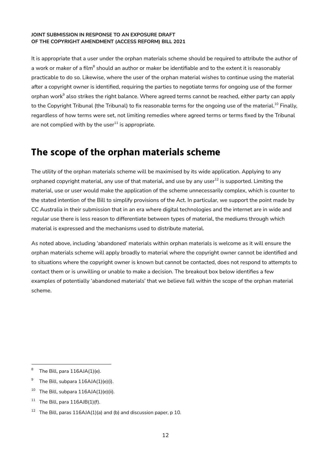It is appropriate that a user under the orphan materials scheme should be required to attribute the author of a work or maker of a film $^8$  should an author or maker be identifiable and to the extent it is reasonably practicable to do so. Likewise, where the user of the orphan material wishes to continue using the material after a copyright owner is identified, requiring the parties to negotiate terms for ongoing use of the former orphan work $^{\circ}$  also strikes the right balance. Where agreed terms cannot be reached, either party can apply to the Copyright Tribunal (the Tribunal) to fix reasonable terms for the ongoing use of the material.<sup>10</sup> Finally, regardless of how terms were set, not limiting remedies where agreed terms or terms fixed by the Tribunal are not complied with by the user $^{\rm 11}$  is appropriate.

### <span id="page-15-0"></span>**The scope of the orphan materials scheme**

The utility of the orphan materials scheme will be maximised by its wide application. Applying to any orphaned copyright material, any use of that material, and use by any user<sup>12</sup> is supported. Limiting the material, use or user would make the application of the scheme unnecessarily complex, which is counter to the stated intention of the Bill to simplify provisions of the Act. In particular, we support the point made by CC Australia in their submission that in an era where digital technologies and the internet are in wide and regular use there is less reason to differentiate between types of material, the mediums through which material is expressed and the mechanisms used to distribute material.

As noted above, including 'abandoned' materials within orphan materials is welcome as it will ensure the orphan materials scheme will apply broadly to material where the copyright owner cannot be identified and to situations where the copyright owner is known but cannot be contacted, does not respond to attempts to contact them or is unwilling or unable to make a decision. The breakout box below identifies a few examples of potentially 'abandoned materials' that we believe fall within the scope of the orphan material scheme.

The Bill, para 116AJA(1)(e).

<sup>&</sup>lt;sup>9</sup> The Bill, subpara  $116$ AJA $(1)(e)(i)$ .

 $10$  The Bill, subpara 116AJA(1)(e)(ii).

The Bill, para 116AJB(1)(f).

<sup>&</sup>lt;sup>12</sup> The Bill, paras  $116AJA(1)(a)$  and (b) and discussion paper, p 10.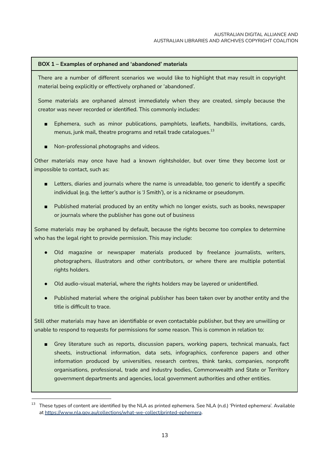### **BOX 1 – Examples of orphaned and 'abandoned' materials**

There are a number of different scenarios we would like to highlight that may result in copyright material being explicitly or effectively orphaned or 'abandoned'.

Some materials are orphaned almost immediately when they are created, simply because the creator was never recorded or identified. This commonly includes:

- Ephemera, such as minor publications, pamphlets, leaflets, handbills, invitations, cards, menus, junk mail, theatre programs and retail trade catalogues. $^{\rm 13}$
- Non-professional photographs and videos.

Other materials may once have had a known rightsholder, but over time they become lost or impossible to contact, such as:

- Letters, diaries and journals where the name is unreadable, too generic to identify a specific individual (e.g. the letter's author is 'J Smith'), or is a nickname or pseudonym.
- Published material produced by an entity which no longer exists, such as books, newspaper or journals where the publisher has gone out of business

Some materials may be orphaned by default, because the rights become too complex to determine who has the legal right to provide permission. This may include:

- Old magazine or newspaper materials produced by freelance journalists, writers, photographers, illustrators and other contributors, or where there are multiple potential rights holders.
- Old audio-visual material, where the rights holders may be layered or unidentified.
- Published material where the original publisher has been taken over by another entity and the title is difficult to trace.

Still other materials may have an identifiable or even contactable publisher, but they are unwilling or unable to respond to requests for permissions for some reason. This is common in relation to:

■ Grey literature such as reports, discussion papers, working papers, technical manuals, fact sheets, instructional information, data sets, infographics, conference papers and other information produced by universities, research centres, think tanks, companies, nonprofit organisations, professional, trade and industry bodies, Commonwealth and State or Territory government departments and agencies, local government authorities and other entities.

<sup>13</sup> These types of content are identified by the NLA as printed ephemera. See NLA (n.d.) 'Printed ephemera'. Available at <https://www.nla.gov.au/collections/what-we-collect/printed-ephemera>.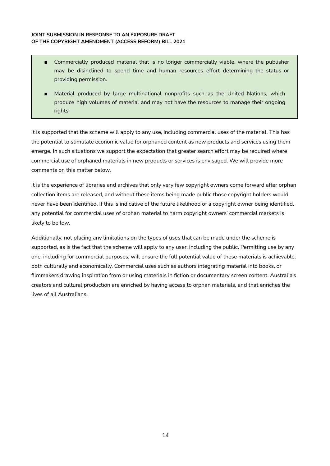- Commercially produced material that is no longer commercially viable, where the publisher may be disinclined to spend time and human resources effort determining the status or providing permission.
- Material produced by large multinational nonprofits such as the United Nations, which produce high volumes of material and may not have the resources to manage their ongoing rights.

It is supported that the scheme will apply to any use, including commercial uses of the material. This has the potential to stimulate economic value for orphaned content as new products and services using them emerge. In such situations we support the expectation that greater search effort may be required where commercial use of orphaned materials in new products or services is envisaged. We will provide more comments on this matter below.

It is the experience of libraries and archives that only very few copyright owners come forward after orphan collection items are released, and without these items being made public those copyright holders would never have been identified. If this is indicative of the future likelihood of a copyright owner being identified, any potential for commercial uses of orphan material to harm copyright owners' commercial markets is likely to be low.

Additionally, not placing any limitations on the types of uses that can be made under the scheme is supported, as is the fact that the scheme will apply to any user, including the public. Permitting use by any one, including for commercial purposes, will ensure the full potential value of these materials is achievable, both culturally and economically. Commercial uses such as authors integrating material into books, or filmmakers drawing inspiration from or using materials in fiction or documentary screen content. Australia's creators and cultural production are enriched by having access to orphan materials, and that enriches the lives of all Australians.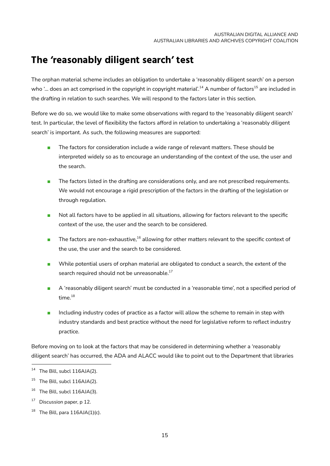## <span id="page-18-0"></span>**The 'reasonably diligent search' test**

The orphan material scheme includes an obligation to undertake a 'reasonably diligent search' on a person who '… does an act comprised in the copyright in copyright material'.<sup>14</sup> A number of factors<sup>15</sup> are included in the drafting in relation to such searches. We will respond to the factors later in this section.

Before we do so, we would like to make some observations with regard to the 'reasonably diligent search' test. In particular, the level of flexibility the factors afford in relation to undertaking a 'reasonably diligent search' is important. As such, the following measures are supported:

- The factors for consideration include a wide range of relevant matters. These should be interpreted widely so as to encourage an understanding of the context of the use, the user and the search.
- The factors listed in the drafting are considerations only, and are not prescribed requirements. We would not encourage a rigid prescription of the factors in the drafting of the legislation or through regulation.
- Not all factors have to be applied in all situations, allowing for factors relevant to the specific context of the use, the user and the search to be considered.
- $\blacksquare$  The factors are non-exhaustive,  $^{16}$  allowing for other matters relevant to the specific context of the use, the user and the search to be considered.
- While potential users of orphan material are obligated to conduct a search, the extent of the search required should not be unreasonable. $^{17}$
- A 'reasonably diligent search' must be conducted in a 'reasonable time', not a specified period of time. 18
- Including industry codes of practice as a factor will allow the scheme to remain in step with industry standards and best practice without the need for legislative reform to reflect industry practice.

Before moving on to look at the factors that may be considered in determining whether a 'reasonably diligent search' has occurred, the ADA and ALACC would like to point out to the Department that libraries

 $14$  The Bill, subcl 116AJA(2).

<sup>&</sup>lt;sup>15</sup> The Bill, subcl 116AJA(2).

 $16$  The Bill, subcl 116AJA(3).

<sup>&</sup>lt;sup>17</sup> Discussion paper, p 12.

 $18$  The Bill, para 116AJA(1)(c).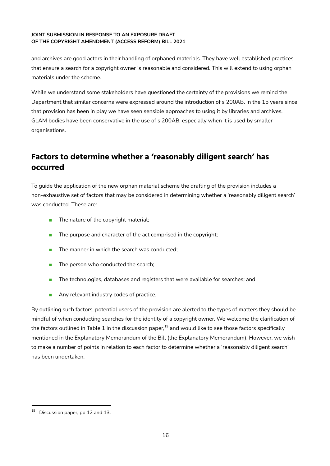and archives are good actors in their handling of orphaned materials. They have well established practices that ensure a search for a copyright owner is reasonable and considered. This will extend to using orphan materials under the scheme.

While we understand some stakeholders have questioned the certainty of the provisions we remind the Department that similar concerns were expressed around the introduction of s 200AB. In the 15 years since that provision has been in play we have seen sensible approaches to using it by libraries and archives. GLAM bodies have been conservative in the use of s 200AB, especially when it is used by smaller organisations.

### <span id="page-19-0"></span>**Factors to determine whether a 'reasonably diligent search' has occurred**

To guide the application of the new orphan material scheme the drafting of the provision includes a non-exhaustive set of factors that may be considered in determining whether a 'reasonably diligent search' was conducted. These are:

- The nature of the copyright material;
- $\blacksquare$  The purpose and character of the act comprised in the copyright;
- The manner in which the search was conducted;
- The person who conducted the search;
- The technologies, databases and registers that were available for searches; and
- Any relevant industry codes of practice.

By outlining such factors, potential users of the provision are alerted to the types of matters they should be mindful of when conducting searches for the identity of a copyright owner. We welcome the clarification of the factors outlined in Table 1 in the discussion paper, $^{\rm 19}$  and would like to see those factors specifically mentioned in the Explanatory Memorandum of the Bill (the Explanatory Memorandum). However, we wish to make a number of points in relation to each factor to determine whether a 'reasonably diligent search' has been undertaken.

<sup>&</sup>lt;sup>19</sup> Discussion paper, pp 12 and 13.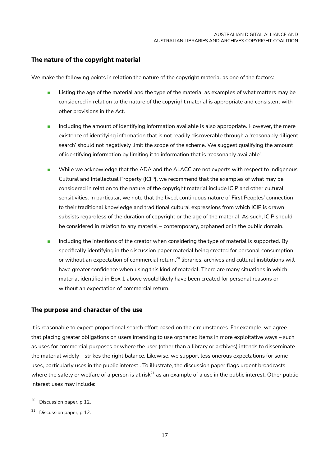### <span id="page-20-0"></span>**The nature of the copyright material**

We make the following points in relation the nature of the copyright material as one of the factors:

- Listing the age of the material and the type of the material as examples of what matters may be considered in relation to the nature of the copyright material is appropriate and consistent with other provisions in the Act.
- Including the amount of identifying information available is also appropriate. However, the mere existence of identifying information that is not readily discoverable through a 'reasonably diligent search' should not negatively limit the scope of the scheme. We suggest qualifying the amount of identifying information by limiting it to information that is 'reasonably available'.
- While we acknowledge that the ADA and the ALACC are not experts with respect to Indigenous Cultural and Intellectual Property (ICIP), we recommend that the examples of what may be considered in relation to the nature of the copyright material include ICIP and other cultural sensitivities. In particular, we note that the lived, continuous nature of First Peoples' connection to their traditional knowledge and traditional cultural expressions from which ICIP is drawn subsists regardless of the duration of copyright or the age of the material. As such, ICIP should be considered in relation to any material – contemporary, orphaned or in the public domain.
- Including the intentions of the creator when considering the type of material is supported. By specifically identifying in the discussion paper material being created for personal consumption or without an expectation of commercial return, $^{20}$  libraries, archives and cultural institutions will have greater confidence when using this kind of material. There are many situations in which material identified in Box 1 above would likely have been created for personal reasons or without an expectation of commercial return.

### <span id="page-20-1"></span>**The purpose and character of the use**

It is reasonable to expect proportional search effort based on the circumstances. For example, we agree that placing greater obligations on users intending to use orphaned items in more exploitative ways – such as uses for commercial purposes or where the user (other than a library or archives) intends to disseminate the material widely – strikes the right balance. Likewise, we support less onerous expectations for some uses, particularly uses in the public interest . To illustrate, the discussion paper flags urgent broadcasts where the safety or welfare of a person is at risk $^{21}$  as an example of a use in the public interest. Other public interest uses may include:

<sup>&</sup>lt;sup>20</sup> Discussion paper, p 12.

 $21$  Discussion paper, p 12.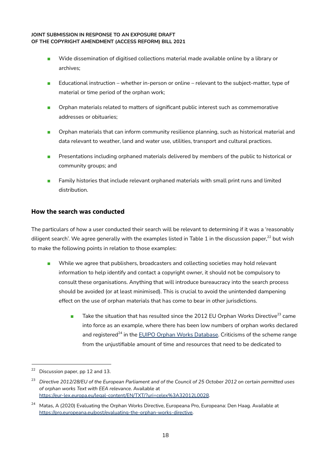- Wide dissemination of digitised collections material made available online by a library or archives;
- Educational instruction whether in-person or online relevant to the subject-matter, type of material or time period of the orphan work;
- Orphan materials related to matters of significant public interest such as commemorative addresses or obituaries;
- Orphan materials that can inform community resilience planning, such as historical material and data relevant to weather, land and water use, utilities, transport and cultural practices.
- Presentations including orphaned materials delivered by members of the public to historical or community groups; and
- Family histories that include relevant orphaned materials with small print runs and limited distribution.

### <span id="page-21-0"></span>**How the search was conducted**

The particulars of how a user conducted their search will be relevant to determining if it was a 'reasonably diligent search'. We agree generally with the examples listed in Table 1 in the discussion paper, $^\mathrm{22}$  but wish to make the following points in relation to those examples:

- While we agree that publishers, broadcasters and collecting societies may hold relevant information to help identify and contact a copyright owner, it should not be compulsory to consult these organisations. Anything that will introduce bureaucracy into the search process should be avoided (or at least minimised). This is crucial to avoid the unintended dampening effect on the use of orphan materials that has come to bear in other jurisdictions.
	- $\blacksquare$  Take the situation that has resulted since the 2012 EU Orphan Works Directive $^{23}$  came into force as an example, where there has been low numbers of orphan works declared and registered<sup>24</sup> in the <u>EUIPO Orphan Works Database</u>. Criticisms of the scheme range from the unjustifiable amount of time and resources that need to be dedicated to

Discussion paper, pp 12 and 13.

<sup>&</sup>lt;sup>23</sup> Directive 2012/28/EU of the European Parliament and of the Council of 25 October 2012 on certain permitted uses *of orphan works Text with EEA relevance*. Available at <https://eur-lex.europa.eu/legal-content/EN/TXT/?uri=celex%3A32012L0028>.

<sup>&</sup>lt;sup>24</sup> Matas, A (2020) Evaluating the Orphan Works Directive, Europeana Pro, Europeana: Den Haag. Available at [https://pro.europeana.eu/post/evaluating-the-orphan-works-directive.](https://pro.europeana.eu/post/evaluating-the-orphan-works-directive)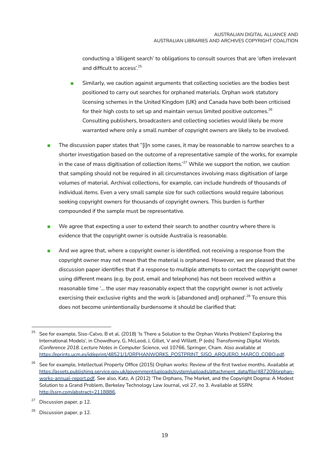conducting a 'diligent search' to obligations to consult sources that are 'often irrelevant and difficult to access'. 25

- Similarly, we caution against arguments that collecting societies are the bodies best positioned to carry out searches for orphaned materials. Orphan work statutory licensing schemes in the United Kingdom (UK) and Canada have both been criticised for their high costs to set up and maintain versus limited positive outcomes. $^{26}$ Consulting publishers, broadcasters and collecting societies would likely be more warranted where only a small number of copyright owners are likely to be involved.
- The discussion paper states that "[i]n some cases, it may be reasonable to narrow searches to a shorter investigation based on the outcome of a representative sample of the works, for example in the case of mass digitisation of collection items.' $^{27}$  While we support the notion, we caution that sampling should not be required in all circumstances involving mass digitisation of large volumes of material. Archival collections, for example, can include hundreds of thousands of individual items. Even a very small sample size for such collections would require laborious seeking copyright owners for thousands of copyright owners. This burden is further compounded if the sample must be representative.
- We agree that expecting a user to extend their search to another country where there is evidence that the copyright owner is outside Australia is reasonable.
- And we agree that, where a copyright owner is identified, not receiving a response from the copyright owner may not mean that the material is orphaned. However, we are pleased that the discussion paper identifies that if a response to multiple attempts to contact the copyright owner using different means (e.g. by post, email and telephone) has not been received within a reasonable time '... the user may reasonably expect that the copyright owner is not actively exercising their exclusive rights and the work is [abandoned and] orphaned'.<sup>28</sup> To ensure this does not become unintentionally burdensome it should be clarified that:

<sup>25</sup> See for example, Siso-Calvo, B et al. (2018) 'Is There a Solution to the Orphan Works Problem? Exploring the International Models', in Chowdhury, G, McLeod, J, Gillet, V and Willett, P (eds) *Transforming Digital Worlds. iConference 2018. Lecture Notes in Computer Science*, vol 10766, Springer, Cham. Also available at [https://eprints.ucm.es/id/eprint/48521/1/ORPHANWORKS\\_POSTPRINT\\_SISO\\_ARQUERO\\_MARCO\\_COBO.pdf](https://eprints.ucm.es/id/eprint/48521/1/ORPHANWORKS_POSTPRINT_SISO_ARQUERO_MARCO_COBO.pdf).

<sup>&</sup>lt;sup>26</sup> See for example, Intellectual Property Office (2015) Orphan works: Review of the first twelve months. Available at [https://assets.publishing.service.gov.uk/government/uploads/system/uploads/attachment\\_data/file/487209/orphan](https://assets.publishing.service.gov.uk/government/uploads/system/uploads/attachment_data/file/487209/orphan-works-annual-report.pdf)[works-annual-report.pdf.](https://assets.publishing.service.gov.uk/government/uploads/system/uploads/attachment_data/file/487209/orphan-works-annual-report.pdf) See also, Katz, A (2012) 'The Orphans, The Market, and the Copyright Dogma: A Modest Solution to a Grand Problem, Berkeley Technology Law Journal, vol 27, no 3. Available at SSRN: [http://ssrn.com/abstract=2118886.](http://ssrn.com/abstract=2118886)

Discussion paper, p 12.

<sup>&</sup>lt;sup>28</sup> Discussion paper, p 12.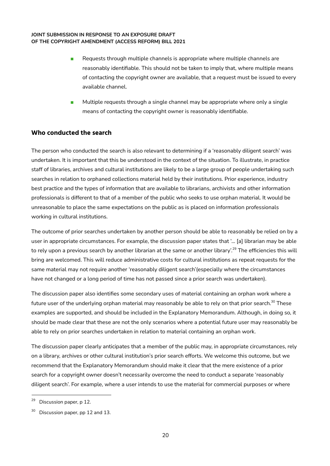- Requests through multiple channels is appropriate where multiple channels are reasonably identifiable. This should not be taken to imply that, where multiple means of contacting the copyright owner are available, that a request must be issued to every available channel.
- Multiple requests through a single channel may be appropriate where only a single means of contacting the copyright owner is reasonably identifiable.

### <span id="page-23-0"></span>**Who conducted the search**

The person who conducted the search is also relevant to determining if a 'reasonably diligent search' was undertaken. It is important that this be understood in the context of the situation. To illustrate, in practice staff of libraries, archives and cultural institutions are likely to be a large group of people undertaking such searches in relation to orphaned collections material held by their institutions. Prior experience, industry best practice and the types of information that are available to librarians, archivists and other information professionals is different to that of a member of the public who seeks to use orphan material. It would be unreasonable to place the same expectations on the public as is placed on information professionals working in cultural institutions.

The outcome of prior searches undertaken by another person should be able to reasonably be relied on by a user in appropriate circumstances. For example, the discussion paper states that '... [a] librarian may be able to rely upon a previous search by another librarian at the same or another library'.<sup>29</sup> The efficiencies this will bring are welcomed. This will reduce administrative costs for cultural institutions as repeat requests for the same material may not require another 'reasonably diligent search'(especially where the circumstances have not changed or a long period of time has not passed since a prior search was undertaken).

The discussion paper also identifies some secondary uses of material containing an orphan work where a future user of the underlying orphan material may reasonably be able to rely on that prior search.<sup>30</sup> These examples are supported, and should be included in the Explanatory Memorandum. Although, in doing so, it should be made clear that these are not the only scenarios where a potential future user may reasonably be able to rely on prior searches undertaken in relation to material containing an orphan work.

The discussion paper clearly anticipates that a member of the public may, in appropriate circumstances, rely on a library, archives or other cultural institution's prior search efforts. We welcome this outcome, but we recommend that the Explanatory Memorandum should make it clear that the mere existence of a prior search for a copyright owner doesn't necessarily overcome the need to conduct a separate 'reasonably diligent search'. For example, where a user intends to use the material for commercial purposes or where

<sup>&</sup>lt;sup>29</sup> Discussion paper, p 12.

<sup>&</sup>lt;sup>30</sup> Discussion paper, pp 12 and 13.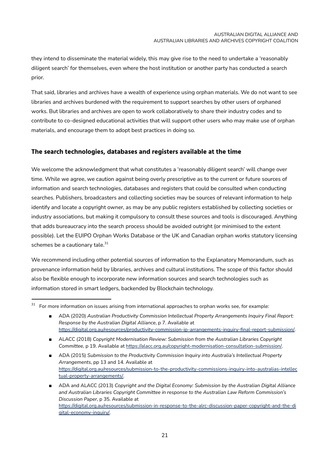they intend to disseminate the material widely, this may give rise to the need to undertake a 'reasonably diligent search' for themselves, even where the host institution or another party has conducted a search prior.

That said, libraries and archives have a wealth of experience using orphan materials. We do not want to see libraries and archives burdened with the requirement to support searches by other users of orphaned works. But libraries and archives are open to work collaboratively to share their industry codes and to contribute to co-designed educational activities that will support other users who may make use of orphan materials, and encourage them to adopt best practices in doing so.

### <span id="page-24-0"></span>**The search technologies, databases and registers available at the time**

We welcome the acknowledgment that what constitutes a 'reasonably diligent search' will change over time. While we agree, we caution against being overly prescriptive as to the current or future sources of information and search technologies, databases and registers that could be consulted when conducting searches. Publishers, broadcasters and collecting societies may be sources of relevant information to help identify and locate a copyright owner, as may be any public registers established by collecting societies or industry associations, but making it compulsory to consult these sources and tools is discouraged. Anything that adds bureaucracy into the search process should be avoided outright (or minimised to the extent possible). Let the EUIPO Orphan Works Database or the UK and Canadian orphan works statutory licensing schemes be a cautionary tale.<sup>31</sup>

We recommend including other potential sources of information to the Explanatory Memorandum, such as provenance information held by libraries, archives and cultural institutions. The scope of this factor should also be flexible enough to incorporate new information sources and search technologies such as information stored in smart ledgers, backended by Blockchain technology.

<sup>31</sup> For more information on issues arising from international approaches to orphan works see, for example:

<sup>■</sup> ADA (2020) *Australian Productivity Commission Intellectual Property Arrangements Inquiry Final Report: Response by the Australian Digital Alliance*, p 7. Available at <https://digital.org.au/resources/productivity-commission-ip-arrangements-inquiry-final-report-submission/>.

<sup>■</sup> ALACC (2018) *Copyright Modernisation Review: Submission from the Australian Libraries Copyright Committee*, p 19. Available at <https://alacc.org.au/copyright-modernisation-consultation-submission/>.

<sup>■</sup> ADA (2015) *Submission* to the Productivity Commission *Inquiry* into Australia's Intellectual Property *Arrangements*, pp 13 and 14. Available at [https://digital.org.au/resources/submission-to-the-productivity-commissions-inquiry-into-australias-intellec](https://digital.org.au/resources/submission-to-the-productivity-commissions-inquiry-into-australias-intellectual-property-arrangements/) [tual-property-arrangements/.](https://digital.org.au/resources/submission-to-the-productivity-commissions-inquiry-into-australias-intellectual-property-arrangements/)

<sup>■</sup> ADA and ALACC (2013) *Copyright and the Digital Economy: Submission by the Australian Digital Alliance and Australian Libraries Copyright Committee in response to the Australian Law Reform Commission's Discussion Paper*, p 35. Available at [https://digital.org.au/resources/submission-in-response-to-the-alrc-discussion-paper-copyright-and-the-di](https://digital.org.au/resources/submission-in-response-to-the-alrc-discussion-paper-copyright-and-the-digital-economy-inquiry/) [gital-economy-inquiry/.](https://digital.org.au/resources/submission-in-response-to-the-alrc-discussion-paper-copyright-and-the-digital-economy-inquiry/)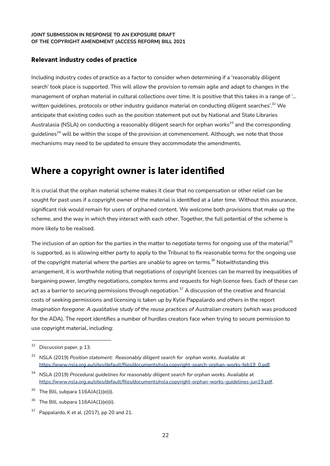### <span id="page-25-0"></span>**Relevant industry codes of practice**

Including industry codes of practice as a factor to consider when determining if a 'reasonably diligent search' took place is supported. This will allow the provision to remain agile and adapt to changes in the management of orphan material in cultural collections over time. It is positive that this takes in a range of '... written guidelines, protocols or other industry guidance material on conducting diligent searches'. <sup>32</sup> We anticipate that existing codes such as the position statement put out by National and State Libraries Australasia (NSLA) on conducting a reasonably diligent search for orphan works<sup>33</sup> and the corresponding guidelines<sup>34</sup> will be within the scope of the provision at commencement. Although, we note that those mechanisms may need to be updated to ensure they accommodate the amendments.

### <span id="page-25-1"></span>**Where a copyright owner is later identified**

It is crucial that the orphan material scheme makes it clear that no compensation or other relief can be sought for past uses if a copyright owner of the material is identified at a later time. Without this assurance, significant risk would remain for users of orphaned content. We welcome both provisions that make up the scheme, and the way in which they interact with each other. Together, the full potential of the scheme is more likely to be realised.

The inclusion of an option for the parties in the matter to negotiate terms for ongoing use of the material $^{\rm 35}$ is supported, as is allowing either party to apply to the Tribunal to fix reasonable terms for the ongoing use of the copyright material where the parties are unable to agree on terms. $^{\rm 36}$  Notwithstanding this arrangement, it is worthwhile noting that negotiations of copyright licences can be marred by inequalities of bargaining power, lengthy negotiations, complex terms and requests for high licence fees. Each of these can act as a barrier to securing permissions through negotiation.<sup>37</sup> A discussion of the creative and financial costs of seeking permissions and licensing is taken up by Kylie Pappalardo and others in the report *Imagination foregone: A qualitative study of the reuse practices of Australian creators* (which was produced for the ADA). The report identifies a number of hurdles creators face when trying to secure permission to use copyright material, including:

<sup>&</sup>lt;sup>32</sup> Discussion paper, p 13.

<sup>33</sup> NSLA (2019) *Position statement: Reasonably diligent search for orphan works*. Available at [https://www.nsla.org.au/sites/default/files/documents/nsla.copyright-search-orphan-works-feb19\\_0.pdf](https://www.nsla.org.au/sites/default/files/documents/nsla.copyright-search-orphan-works-feb19_0.pdf).

<sup>34</sup> NSLA (2019) *Procedural guidelines for reasonably diligent search for orphan works*. Available at [https://www.nsla.org.au/sites/default/files/documents/nsla.copyright-orphan-works-guidelines-jun19.pdf.](https://www.nsla.org.au/sites/default/files/documents/nsla.copyright-orphan-works-guidelines-jun19.pdf)

 $35$  The Bill, subpara 116AJA(1)(e)(i).

The Bill, subpara 116AJA(1)(e)(ii).

 $37$  Pappalardo, K et al. (2017), pp 20 and 21.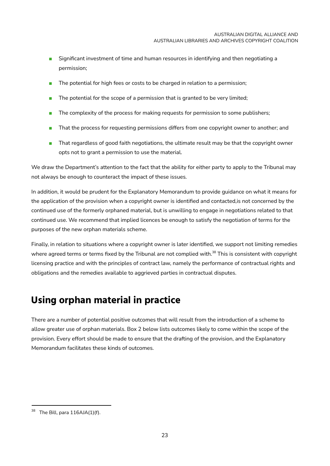- Significant investment of time and human resources in identifying and then negotiating a permission;
- The potential for high fees or costs to be charged in relation to a permission;
- The potential for the scope of a permission that is granted to be very limited;
- The complexity of the process for making requests for permission to some publishers;
- That the process for requesting permissions differs from one copyright owner to another; and
- That regardless of good faith negotiations, the ultimate result may be that the copyright owner opts not to grant a permission to use the material.

We draw the Department's attention to the fact that the ability for either party to apply to the Tribunal may not always be enough to counteract the impact of these issues.

In addition, it would be prudent for the Explanatory Memorandum to provide guidance on what it means for the application of the provision when a copyright owner is identified and contacted,is not concerned by the continued use of the formerly orphaned material, but is unwilling to engage in negotiations related to that continued use. We recommend that implied licences be enough to satisfy the negotiation of terms for the purposes of the new orphan materials scheme.

Finally, in relation to situations where a copyright owner is later identified, we support not limiting remedies where agreed terms or terms fixed by the Tribunal are not complied with.<sup>38</sup> This is consistent with copyright licensing practice and with the principles of contract law, namely the performance of contractual rights and obligations and the remedies available to aggrieved parties in contractual disputes.

## <span id="page-26-0"></span>**Using orphan material in practice**

There are a number of potential positive outcomes that will result from the introduction of a scheme to allow greater use of orphan materials. Box 2 below lists outcomes likely to come within the scope of the provision. Every effort should be made to ensure that the drafting of the provision, and the Explanatory Memorandum facilitates these kinds of outcomes.

The Bill, para  $116AJA(1)$ (f).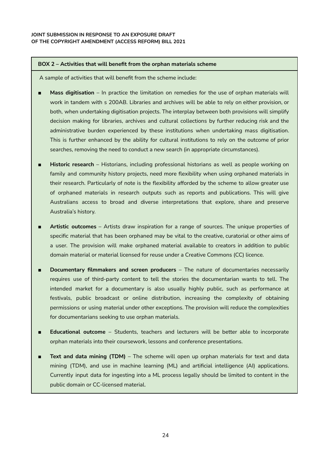#### **BOX 2 – Activities that will benefit from the orphan materials scheme**

A sample of activities that will benefit from the scheme include:

- **Mass digitisation** In practice the limitation on remedies for the use of orphan materials will work in tandem with s 200AB. Libraries and archives will be able to rely on either provision, or both, when undertaking digitisation projects. The interplay between both provisions will simplify decision making for libraries, archives and cultural collections by further reducing risk and the administrative burden experienced by these institutions when undertaking mass digitisation. This is further enhanced by the ability for cultural institutions to rely on the outcome of prior searches, removing the need to conduct a new search (in appropriate circumstances).
- **Historic research** Historians, including professional historians as well as people working on family and community history projects, need more flexibility when using orphaned materials in their research. Particularly of note is the flexibility afforded by the scheme to allow greater use of orphaned materials in research outputs such as reports and publications. This will give Australians access to broad and diverse interpretations that explore, share and preserve Australia's history.
- Artistic outcomes Artists draw inspiration for a range of sources. The unique properties of specific material that has been orphaned may be vital to the creative, curatorial or other aims of a user. The provision will make orphaned material available to creators in addition to public domain material or material licensed for reuse under a Creative Commons (CC) licence.
- **Documentary filmmakers and screen producers** The nature of documentaries necessarily requires use of third-party content to tell the stories the documentarian wants to tell. The intended market for a documentary is also usually highly public, such as performance at festivals, public broadcast or online distribution, increasing the complexity of obtaining permissions or using material under other exceptions. The provision will reduce the complexities for documentarians seeking to use orphan materials.
- **Educational outcome** Students, teachers and lecturers will be better able to incorporate orphan materials into their coursework, lessons and conference presentations.
- **Text and data mining (TDM)** The scheme will open up orphan materials for text and data mining (TDM), and use in machine learning (ML) and artificial intelligence (AI) applications. Currently input data for ingesting into a ML process legally should be limited to content in the public domain or CC-licensed material.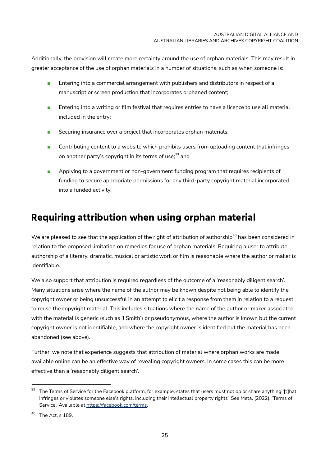Additionally, the provision will create more certainty around the use of orphan materials. This may result in greater acceptance of the use of orphan materials in a number of situations, such as when someone is:

- Entering into a commercial arrangement with publishers and distributors in respect of a manuscript or screen production that incorporates orphaned content;
- Entering into a writing or film festival that requires entries to have a licence to use all material included in the entry;
- Securing insurance over a project that incorporates orphan materials:
- Contributing content to a website which prohibits users from uploading content that infringes on another party's copyright in its terms of use; <sup>39</sup> and
- Applying to a government or non-government funding program that requires recipients of funding to secure appropriate permissions for any third-party copyright material incorporated into a funded activity.

## <span id="page-28-0"></span>**Requiring attribution when using orphan material**

We are pleased to see that the application of the right of attribution of authorship $^{\rm 40}$  has been considered in relation to the proposed limitation on remedies for use of orphan materials. Requiring a user to attribute authorship of a literary, dramatic, musical or artistic work or film is reasonable where the author or maker is identifiable.

We also support that attribution is required regardless of the outcome of a 'reasonably diligent search'. Many situations arise where the name of the author may be known despite not being able to identify the copyright owner or being unsuccessful in an attempt to elicit a response from them in relation to a request to reuse the copyright material. This includes situations where the name of the author or maker associated with the material is generic (such as 'J Smith') or pseudonymous, where the author is known but the current copyright owner is not identifiable, and where the copyright owner is identified but the material has been abandoned (see above).

Further, we note that experience suggests that attribution of material where orphan works are made available online can be an effective way of revealing copyright owners. In some cases this can be more effective than a 'reasonably diligent search'.

<sup>&</sup>lt;sup>39</sup> The Terms of Service for the Facebook platform, for example, states that users must not do or share anything '[t]hat infringes or violates someone else's rights, including their intellectual property rights'. See Meta. (2022). 'Terms of Service'. Available at <https://facebook.com/terms>.

<sup>40</sup> The Act, s 189.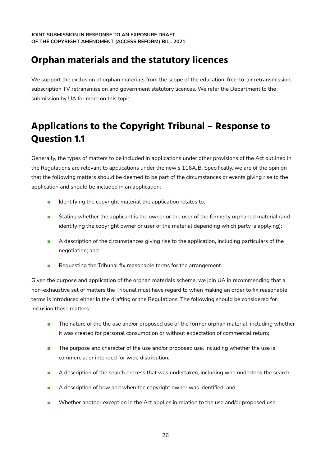## <span id="page-29-0"></span>**Orphan materials and the statutory licences**

We support the exclusion of orphan materials from the scope of the education, free-to-air retransmission, subscription TV retransmission and government statutory licences. We refer the Department to the submission by UA for more on this topic.

## <span id="page-29-1"></span>**Applications to the Copyright Tribunal – Response to Question 1.1**

Generally, the types of matters to be included in applications under other provisions of the Act outlined in the Regulations are relevant to applications under the new s 116AJB. Specifically, we are of the opinion that the following matters should be deemed to be part of the circumstances or events giving rise to the application and should be included in an application:

- Identifying the copyright material the application relates to;
- Stating whether the applicant is the owner or the user of the formerly orphaned material (and identifying the copyright owner or user of the material depending which party is applying);
- A description of the circumstances giving rise to the application, including particulars of the negotiation; and
- Requesting the Tribunal fix reasonable terms for the arrangement.

Given the purpose and application of the orphan materials scheme, we join UA in recommending that a non-exhaustive set of matters the Tribunal must have regard to when making an order to fix reasonable terms is introduced either in the drafting or the Regulations. The following should be considered for inclusion those matters:

- The nature of the the use and/or proposed use of the former orphan material, including whether it was created for personal consumption or without expectation of commercial return;
- The purpose and character of the use and/or proposed use, including whether the use is commercial or intended for wide distribution;
- A description of the search process that was undertaken, including who undertook the search;
- A description of how and when the copyright owner was identified; and
- Whether another exception in the Act applies in relation to the use and/or proposed use.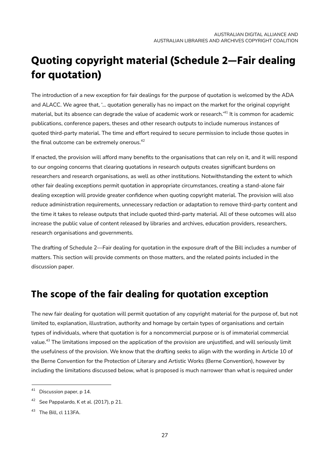# <span id="page-30-0"></span>**Quoting copyright material (Schedule 2—Fair dealing for quotation)**

The introduction of a new exception for fair dealings for the purpose of quotation is welcomed by the ADA and ALACC. We agree that, '... quotation generally has no impact on the market for the original copyright material, but its absence can degrade the value of academic work or research.'<sup>41</sup> It is common for academic publications, conference papers, theses and other research outputs to include numerous instances of quoted third-party material. The time and effort required to secure permission to include those quotes in the final outcome can be extremely onerous. $^\mathrm{42}$ 

If enacted, the provision will afford many benefits to the organisations that can rely on it, and it will respond to our ongoing concerns that clearing quotations in research outputs creates significant burdens on researchers and research organisations, as well as other institutions. Notwithstanding the extent to which other fair dealing exceptions permit quotation in appropriate circumstances, creating a stand-alone fair dealing exception will provide greater confidence when quoting copyright material. The provision will also reduce administration requirements, unnecessary redaction or adaptation to remove third-party content and the time it takes to release outputs that include quoted third-party material. All of these outcomes will also increase the public value of content released by libraries and archives, education providers, researchers, research organisations and governments.

The drafting of Schedule 2—Fair dealing for quotation in the exposure draft of the Bill includes a number of matters. This section will provide comments on those matters, and the related points included in the discussion paper.

## <span id="page-30-1"></span>**The scope of the fair dealing for quotation exception**

The new fair dealing for quotation will permit quotation of any copyright material for the purpose of, but not limited to, explanation, illustration, authority and homage by certain types of organisations and certain types of individuals, where that quotation is for a noncommercial purpose or is of immaterial commercial value. <sup>43</sup> The limitations imposed on the application of the provision are unjustified, and will seriously limit the usefulness of the provision. We know that the drafting seeks to align with the wording in Article 10 of the Berne Convention for the Protection of Literary and Artistic Works (Berne Convention), however by including the limitations discussed below, what is proposed is much narrower than what is required under

<sup>&</sup>lt;sup>41</sup> Discussion paper, p 14.

See Pappalardo, K et al. (2017), p 21.

<sup>&</sup>lt;sup>43</sup> The Bill, cl 113FA.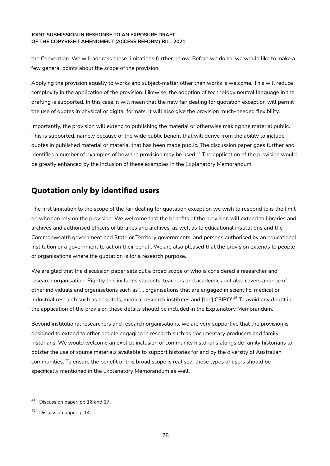the Convention. We will address these limitations further below. Before we do so, we would like to make a few general points about the scope of the provision.

Applying the provision equally to works and subject-matter other than works is welcome. This will reduce complexity in the application of the provision. Likewise, the adoption of technology neutral language in the drafting is supported. In this case, it will mean that the new fair dealing for quotation exception will permit the use of quotes in physical or digital formats. It will also give the provision much-needed flexibility.

Importantly, the provision will extend to publishing the material or otherwise making the material public. This is supported, namely because of the wide public benefit that will derive from the ability to include quotes in published material or material that has been made public. The discussion paper goes further and identifies a number of examples of how the provision may be used. <sup>44</sup> The application of the provision would be greatly enhanced by the inclusion of these examples in the Explanatory Memorandum.

### <span id="page-31-0"></span>**Quotation only by identified users**

The first limitation to the scope of the fair dealing for quotation exception we wish to respond to is the limit on who can rely on the provision. We welcome that the benefits of the provision will extend to libraries and archives and authorised officers of libraries and archives, as well as to educational institutions and the Commonwealth government and State or Territory governments, and persons authorised by an educational institution or a government to act on their behalf. We are also pleased that the provision extends to people or organisations where the quotation is for a research purpose.

We are glad that the discussion paper sets out a broad scope of who is considered a researcher and research organisation. Rightly this includes students, teachers and academics but also covers a range of other individuals and organisations such as '... organisations that are engaged in scientific, medical or industrial research such as hospitals, medical research institutes and [the] CSIRO'. <sup>45</sup> To avoid any doubt in the application of the provision these details should be included in the Explanatory Memorandum.

Beyond institutional researchers and research organisations, we are very supportive that the provision is designed to extend to other people engaging in research such as documentary producers and family historians. We would welcome an explicit inclusion of community historians alongside family historians to bolster the use of source materials available to support histories for and by the diversity of Australian communities. To ensure the benefit of this broad scope is realised, these types of users should be specifically mentioned in the Explanatory Memorandum as well.

Discussion paper, pp 16 and 17.

 $45$  Discussion paper, p 14.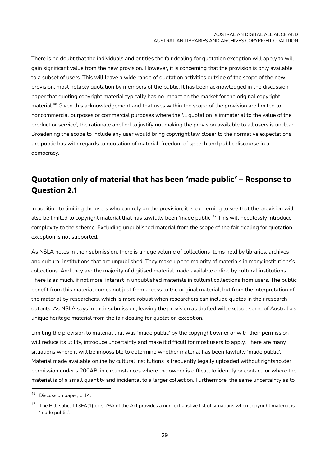There is no doubt that the individuals and entities the fair dealing for quotation exception will apply to will gain significant value from the new provision. However, it is concerning that the provision is only available to a subset of users. This will leave a wide range of quotation activities outside of the scope of the new provision, most notably quotation by members of the public. It has been acknowledged in the discussion paper that quoting copyright material typically has no impact on the market for the original copyright material. <sup>46</sup> Given this acknowledgement and that uses within the scope of the provision are limited to noncommercial purposes or commercial purposes where the '... quotation is immaterial to the value of the product or service', the rationale applied to justify not making the provision available to all users is unclear. Broadening the scope to include any user would bring copyright law closer to the normative expectations the public has with regards to quotation of material, freedom of speech and public discourse in a democracy.

### <span id="page-32-0"></span>**Quotation only of material that has been 'made public' – Response to Question 2.1**

In addition to limiting the users who can rely on the provision, it is concerning to see that the provision will also be limited to copyright material that has lawfully been 'made public'. <sup>47</sup> This will needlessly introduce complexity to the scheme. Excluding unpublished material from the scope of the fair dealing for quotation exception is not supported.

As NSLA notes in their submission, there is a huge volume of collections items held by libraries, archives and cultural institutions that are unpublished. They make up the majority of materials in many institutions's collections. And they are the majority of digitised material made available online by cultural institutions. There is as much, if not more, interest in unpublished materials in cultural collections from users. The public benefit from this material comes not just from access to the original material, but from the interpretation of the material by researchers, which is more robust when researchers can include quotes in their research outputs. As NSLA says in their submission, leaving the provision as drafted will exclude some of Australia's unique heritage material from the fair dealing for quotation exception.

Limiting the provision to material that was 'made public' by the copyright owner or with their permission will reduce its utility, introduce uncertainty and make it difficult for most users to apply. There are many situations where it will be impossible to determine whether material has been lawfully 'made public'. Material made available online by cultural institutions is frequently legally uploaded without rightsholder permission under s 200AB, in circumstances where the owner is difficult to identify or contact, or where the material is of a small quantity and incidental to a larger collection. Furthermore, the same uncertainty as to

Discussion paper, p 14.

 $47$  The Bill, subcl 113FA(1)(c). s 29A of the Act provides a non-exhaustive list of situations when copyright material is 'made public'.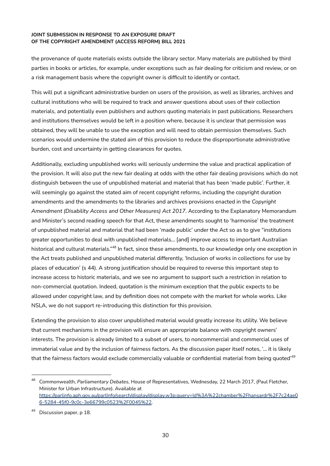the provenance of quote materials exists outside the library sector. Many materials are published by third parties in books or articles, for example, under exceptions such as fair dealing for criticism and review, or on a risk management basis where the copyright owner is difficult to identify or contact.

This will put a significant administrative burden on users of the provision, as well as libraries, archives and cultural institutions who will be required to track and answer questions about uses of their collection materials, and potentially even publishers and authors quoting materials in past publications. Researchers and institutions themselves would be left in a position where, because it is unclear that permission was obtained, they will be unable to use the exception and will need to obtain permission themselves. Such scenarios would undermine the stated aim of this provision to reduce the disproportionate administrative burden, cost and uncertainty in getting clearances for quotes.

Additionally, excluding unpublished works will seriously undermine the value and practical application of the provision. It will also put the new fair dealing at odds with the other fair dealing provisions which do not distinguish between the use of unpublished material and material that has been 'made public'. Further, it will seemingly go against the stated aim of recent copyright reforms, including the copyright duration amendments and the amendments to the libraries and archives provisions enacted in the *Copyright Amendment (Disability Access and Other Measures) Act 2017*. According to the Explanatory Memorandum and Minister's second reading speech for that Act, these amendments sought to 'harmonise' the treatment of unpublished material and material that had been 'made public' under the Act so as to give "institutions greater opportunities to deal with unpublished materials… [and] improve access to important Australian historical and cultural materials."<sup>48</sup> In fact, since these amendments, to our knowledge only one exception in the Act treats published and unpublished material differently, 'Inclusion of works in collections for use by places of education' (s 44). A strong justification should be required to reverse this important step to increase access to historic materials, and we see no argument to support such a restriction in relation to non-commercial quotation. Indeed, quotation is the minimum exception that the public expects to be allowed under copyright law, and by definition does not compete with the market for whole works. Like NSLA, we do not support re-introducing this distinction for this provision.

Extending the provision to also cover unpublished material would greatly increase its utility. We believe that current mechanisms in the provision will ensure an appropriate balance with copyright owners' interests. The provision is already limited to a subset of users, to noncommercial and commercial uses of immaterial value and by the inclusion of fairness factors. As the discussion paper itself notes, '... it is likely that the fairness factors would exclude commercially valuable or confidential material from being quoted' $^{49}$ 

<sup>48</sup> Commonwealth, *Parliamentary Debates*, House of Representatives, Wednesday, 22 March 2017, (Paul Fletcher, Minister for Urban Infrastructure). Available at [https://parlinfo.aph.gov.au/parlInfo/search/display/display.w3p;query=Id%3A%22chamber%2Fhansardr%2F7c24ae0](https://parlinfo.aph.gov.au/parlInfo/search/display/display.w3p;query=Id%3A%22chamber%2Fhansardr%2F7c24ae06-5284-45f0-9c0c-3e66799c0523%2F0045%22) [6-5284-45f0-9c0c-3e66799c0523%2F0045%22.](https://parlinfo.aph.gov.au/parlInfo/search/display/display.w3p;query=Id%3A%22chamber%2Fhansardr%2F7c24ae06-5284-45f0-9c0c-3e66799c0523%2F0045%22)

<sup>49</sup> Discussion paper, p 18.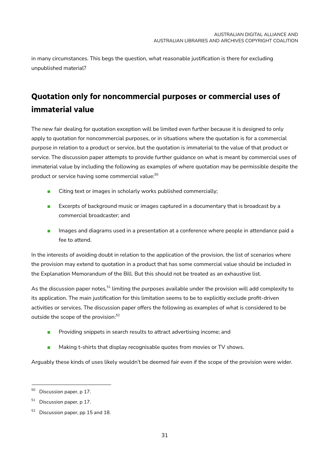in many circumstances. This begs the question, what reasonable justification is there for excluding unpublished material?

## <span id="page-34-0"></span>**Quotation only for noncommercial purposes or commercial uses of immaterial value**

The new fair dealing for quotation exception will be limited even further because it is designed to only apply to quotation for noncommercial purposes, or in situations where the quotation is for a commercial purpose in relation to a product or service, but the quotation is immaterial to the value of that product or service. The discussion paper attempts to provide further guidance on what is meant by commercial uses of immaterial value by including the following as examples of where quotation may be permissible despite the product or service having some commercial value: 50

- Citing text or images in scholarly works published commercially;
- Excerpts of background music or images captured in a documentary that is broadcast by a commercial broadcaster; and
- Images and diagrams used in a presentation at a conference where people in attendance paid a fee to attend.

In the interests of avoiding doubt in relation to the application of the provision, the list of scenarios where the provision may extend to quotation in a product that has some commercial value should be included in the Explanation Memorandum of the Bill. But this should not be treated as an exhaustive list.

As the discussion paper notes,<sup>51</sup> limiting the purposes available under the provision will add complexity to its application. The main justification for this limitation seems to be to explicitly exclude profit-driven activities or services. The discussion paper offers the following as examples of what is considered to be outside the scope of the provision: 52

- Providing snippets in search results to attract advertising income; and
- Making t-shirts that display recognisable quotes from movies or TV shows.

Arguably these kinds of uses likely wouldn't be deemed fair even if the scope of the provision were wider.

<sup>&</sup>lt;sup>50</sup> Discussion paper, p 17.

 $51$  Discussion paper, p 17.

<sup>&</sup>lt;sup>52</sup> Discussion paper, pp 15 and 18.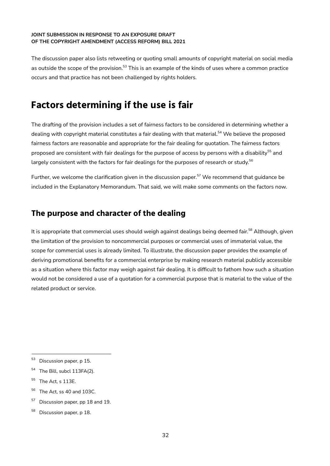The discussion paper also lists retweeting or quoting small amounts of copyright material on social media as outside the scope of the provision.<sup>53</sup> This is an example of the kinds of uses where a common practice occurs and that practice has not been challenged by rights holders.

## <span id="page-35-0"></span>**Factors determining if the use is fair**

The drafting of the provision includes a set of fairness factors to be considered in determining whether a dealing with copyright material constitutes a fair dealing with that material. <sup>54</sup> We believe the proposed fairness factors are reasonable and appropriate for the fair dealing for quotation. The fairness factors proposed are consistent with fair dealings for the purpose of access by persons with a disability<sup>55</sup> and largely consistent with the factors for fair dealings for the purposes of research or study. $^{56}$ 

Further, we welcome the clarification given in the discussion paper. <sup>57</sup> We recommend that guidance be included in the Explanatory Memorandum. That said, we will make some comments on the factors now.

### <span id="page-35-1"></span>**The purpose and character of the dealing**

It is appropriate that commercial uses should weigh against dealings being deemed fair.<sup>58</sup> Although, given the limitation of the provision to noncommercial purposes or commercial uses of immaterial value, the scope for commercial uses is already limited. To illustrate, the discussion paper provides the example of deriving promotional benefits for a commercial enterprise by making research material publicly accessible as a situation where this factor may weigh against fair dealing. It is difficult to fathom how such a situation would not be considered a use of a quotation for a commercial purpose that is material to the value of the related product or service.

<sup>53</sup> Discussion paper, p 15.

<sup>&</sup>lt;sup>54</sup> The Bill, subcl 113FA(2).

 $55$  The Act, s 113F.

 $56$  The Act, ss 40 and 103C.

 $57$  Discussion paper, pp 18 and 19.

<sup>&</sup>lt;sup>58</sup> Discussion paper, p 18.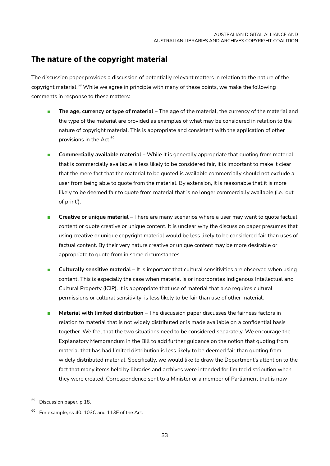### <span id="page-36-0"></span>**The nature of the copyright material**

The discussion paper provides a discussion of potentially relevant matters in relation to the nature of the copyright material.<sup>59</sup> While we agree in principle with many of these points, we make the following comments in response to these matters:

- **The age, currency or type of material** The age of the material, the currency of the material and the type of the material are provided as examples of what may be considered in relation to the nature of copyright material. This is appropriate and consistent with the application of other provisions in the Act. 60
- **Commercially available material** While it is generally appropriate that quoting from material that is commercially available is less likely to be considered fair, it is important to make it clear that the mere fact that the material to be quoted is available commercially should not exclude a user from being able to quote from the material. By extension, it is reasonable that it is more likely to be deemed fair to quote from material that is no longer commercially available (i.e. 'out of print').
- **EXP** Creative or unique material There are many scenarios where a user may want to quote factual content or quote creative or unique content. It is unclear why the discussion paper presumes that using creative or unique copyright material would be less likely to be considered fair than uses of factual content. By their very nature creative or unique content may be more desirable or appropriate to quote from in some circumstances.
- **Culturally sensitive material** It is important that cultural sensitivities are observed when using content. This is especially the case when material is or incorporates Indigenous Intellectual and Cultural Property (ICIP). It is appropriate that use of material that also requires cultural permissions or cultural sensitivity is less likely to be fair than use of other material.
- **Material with limited distribution** The discussion paper discusses the fairness factors in relation to material that is not widely distributed or is made available on a confidential basis together. We feel that the two situations need to be considered separately. We encourage the Explanatory Memorandum in the Bill to add further guidance on the notion that quoting from material that has had limited distribution is less likely to be deemed fair than quoting from widely distributed material. Specifically, we would like to draw the Department's attention to the fact that many items held by libraries and archives were intended for limited distribution when they were created. Correspondence sent to a Minister or a member of Parliament that is now

<sup>&</sup>lt;sup>59</sup> Discussion paper, p 18.

 $60$  For example, ss 40, 103C and 113E of the Act.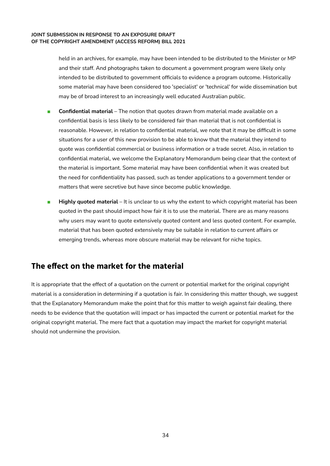held in an archives, for example, may have been intended to be distributed to the Minister or MP and their staff. And photographs taken to document a government program were likely only intended to be distributed to government officials to evidence a program outcome. Historically some material may have been considered too 'specialist' or 'technical' for wide dissemination but may be of broad interest to an increasingly well educated Australian public.

- **Confidential material** The notion that quotes drawn from material made available on a confidential basis is less likely to be considered fair than material that is not confidential is reasonable. However, in relation to confidential material, we note that it may be difficult in some situations for a user of this new provision to be able to know that the material they intend to quote was confidential commercial or business information or a trade secret. Also, in relation to confidential material, we welcome the Explanatory Memorandum being clear that the context of the material is important. Some material may have been confidential when it was created but the need for confidentiality has passed, such as tender applications to a government tender or matters that were secretive but have since become public knowledge.
- **Highly quoted material** It is unclear to us why the extent to which copyright material has been quoted in the past should impact how fair it is to use the material. There are as many reasons why users may want to quote extensively quoted content and less quoted content. For example, material that has been quoted extensively may be suitable in relation to current affairs or emerging trends, whereas more obscure material may be relevant for niche topics.

### <span id="page-37-0"></span>**The effect on the market for the material**

It is appropriate that the effect of a quotation on the current or potential market for the original copyright material is a consideration in determining if a quotation is fair. In considering this matter though, we suggest that the Explanatory Memorandum make the point that for this matter to weigh against fair dealing, there needs to be evidence that the quotation will impact or has impacted the current or potential market for the original copyright material. The mere fact that a quotation may impact the market for copyright material should not undermine the provision.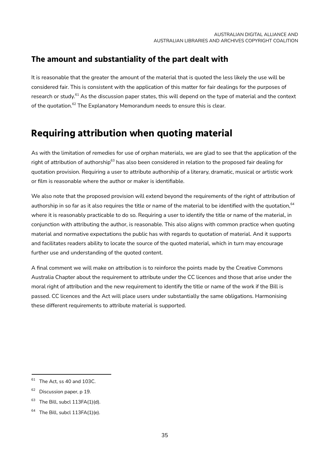### <span id="page-38-0"></span>**The amount and substantiality of the part dealt with**

It is reasonable that the greater the amount of the material that is quoted the less likely the use will be considered fair. This is consistent with the application of this matter for fair dealings for the purposes of research or study.<sup>61</sup> As the discussion paper states, this will depend on the type of material and the context of the quotation.<sup>62</sup> The Explanatory Memorandum needs to ensure this is clear.

## <span id="page-38-1"></span>**Requiring attribution when quoting material**

As with the limitation of remedies for use of orphan materials, we are glad to see that the application of the right of attribution of authorship<sup>63</sup> has also been considered in relation to the proposed fair dealing for quotation provision. Requiring a user to attribute authorship of a literary, dramatic, musical or artistic work or film is reasonable where the author or maker is identifiable.

We also note that the proposed provision will extend beyond the requirements of the right of attribution of authorship in so far as it also requires the title or name of the material to be identified with the quotation,<sup>64</sup> where it is reasonably practicable to do so. Requiring a user to identify the title or name of the material, in conjunction with attributing the author, is reasonable. This also aligns with common practice when quoting material and normative expectations the public has with regards to quotation of material. And it supports and facilitates readers ability to locate the source of the quoted material, which in turn may encourage further use and understanding of the quoted content.

A final comment we will make on attribution is to reinforce the points made by the Creative Commons Australia Chapter about the requirement to attribute under the CC licences and those that arise under the moral right of attribution and the new requirement to identify the title or name of the work if the Bill is passed. CC licences and the Act will place users under substantially the same obligations. Harmonising these different requirements to attribute material is supported.

 $61$  The Act, ss 40 and 103C.

<sup>62</sup> Discussion paper, p 19.

The Bill, subcl 113FA(1)(d).

 $64$  The Bill, subcl 113FA(1)(e).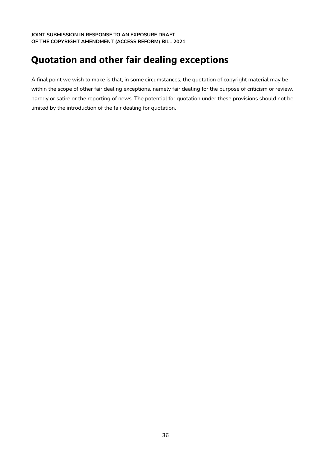## <span id="page-39-0"></span>**Quotation and other fair dealing exceptions**

A final point we wish to make is that, in some circumstances, the quotation of copyright material may be within the scope of other fair dealing exceptions, namely fair dealing for the purpose of criticism or review, parody or satire or the reporting of news. The potential for quotation under these provisions should not be limited by the introduction of the fair dealing for quotation.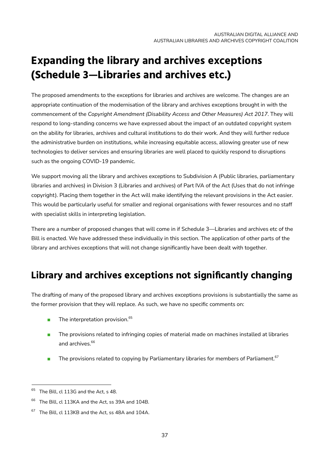# <span id="page-40-0"></span>**Expanding the library and archives exceptions (Schedule 3—Libraries and archives etc.)**

The proposed amendments to the exceptions for libraries and archives are welcome. The changes are an appropriate continuation of the modernisation of the library and archives exceptions brought in with the commencement of the *Copyright Amendment (Disability Access and Other Measures) Act 2017*. They will respond to long-standing concerns we have expressed about the impact of an outdated copyright system on the ability for libraries, archives and cultural institutions to do their work. And they will further reduce the administrative burden on institutions, while increasing equitable access, allowing greater use of new technologies to deliver services and ensuring libraries are well placed to quickly respond to disruptions such as the ongoing COVID-19 pandemic.

We support moving all the library and archives exceptions to Subdivision A (Public libraries, parliamentary libraries and archives) in Division 3 (Libraries and archives) of Part IVA of the Act (Uses that do not infringe copyright). Placing them together in the Act will make identifying the relevant provisions in the Act easier. This would be particularly useful for smaller and regional organisations with fewer resources and no staff with specialist skills in interpreting legislation.

There are a number of proposed changes that will come in if Schedule 3—Libraries and archives etc of the Bill is enacted. We have addressed these individually in this section. The application of other parts of the library and archives exceptions that will not change significantly have been dealt with together.

## <span id="page-40-1"></span>**Library and archives exceptions not significantly changing**

The drafting of many of the proposed library and archives exceptions provisions is substantially the same as the former provision that they will replace. As such, we have no specific comments on:

- The interpretation provision.<sup>65</sup>
- The provisions related to infringing copies of material made on machines installed at libraries and archives. 66
- $\blacksquare$  The provisions related to copying by Parliamentary libraries for members of Parliament.  $^{67}$

<sup>&</sup>lt;sup>65</sup> The Bill, cl 113G and the Act, s 48.

The Bill, cl 113KA and the Act, ss 39A and 104B.

 $67$  The Bill, cl 113KB and the Act, ss 48A and 104A.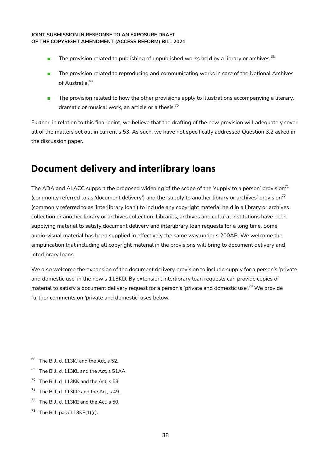- $\blacksquare$  The provision related to publishing of unpublished works held by a library or archives.  $^{68}$
- The provision related to reproducing and communicating works in care of the National Archives of Australia. 69
- The provision related to how the other provisions apply to illustrations accompanying a literary, dramatic or musical work, an article or a thesis. $^{\rm 70}$

Further, in relation to this final point, we believe that the drafting of the new provision will adequately cover all of the matters set out in current s 53. As such, we have not specifically addressed Question 3.2 asked in the discussion paper.

## <span id="page-41-0"></span>**Document delivery and interlibrary loans**

The ADA and ALACC support the proposed widening of the scope of the 'supply to a person' provision $^{\prime 1}$ (commonly referred to as 'document delivery') and the 'supply to another library or archives' provision<sup>72</sup> (commonly referred to as 'interlibrary loan') to include any copyright material held in a library or archives collection or another library or archives collection. Libraries, archives and cultural institutions have been supplying material to satisfy document delivery and interlibrary loan requests for a long time. Some audio-visual material has been supplied in effectively the same way under s 200AB. We welcome the simplification that including all copyright material in the provisions will bring to document delivery and interlibrary loans.

We also welcome the expansion of the document delivery provision to include supply for a person's 'private and domestic use' in the new s 113KD. By extension, interlibrary loan requests can provide copies of material to satisfy a document delivery request for a person's 'private and domestic use'. <sup>73</sup> We provide further comments on 'private and domestic' uses below.

- <sup>69</sup> The Bill, cl 113KL and the Act, s 51AA.
- <sup>70</sup> The Bill, cl 113KK and the Act, s 53.
- $71$  The Bill, cl 113KD and the Act, s 49.
- The Bill, cl 113KE and the Act, s 50.
- $73$  The Bill, para 113KE(1)(c).

<sup>&</sup>lt;sup>68</sup> The Bill, cl 113KJ and the Act, s 52.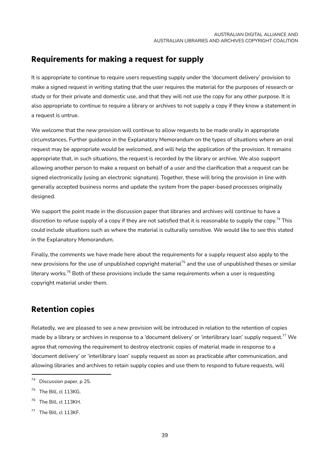### <span id="page-42-0"></span>**Requirements for making a request for supply**

It is appropriate to continue to require users requesting supply under the 'document delivery' provision to make a signed request in writing stating that the user requires the material for the purposes of research or study or for their private and domestic use, and that they will not use the copy for any other purpose. It is also appropriate to continue to require a library or archives to not supply a copy if they know a statement in a request is untrue.

We welcome that the new provision will continue to allow requests to be made orally in appropriate circumstances. Further guidance in the Explanatory Memorandum on the types of situations where an oral request may be appropriate would be welcomed, and will help the application of the provision. It remains appropriate that, in such situations, the request is recorded by the library or archive. We also support allowing another person to make a request on behalf of a user and the clarification that a request can be signed electronically (using an electronic signature). Together, these will bring the provision in line with generally accepted business norms and update the system from the paper-based processes originally designed.

We support the point made in the discussion paper that libraries and archives will continue to have a discretion to refuse supply of a copy if they are not satisfied that it is reasonable to supply the copy.<sup>74</sup> This could include situations such as where the material is culturally sensitive. We would like to see this stated in the Explanatory Memorandum.

Finally, the comments we have made here about the requirements for a supply request also apply to the new provisions for the use of unpublished copyright material $^{75}$  and the use of unpublished theses or similar literary works. $^{76}$  Both of these provisions include the same requirements when a user is requesting copyright material under them.

### <span id="page-42-1"></span>**Retention copies**

Relatedly, we are pleased to see a new provision will be introduced in relation to the retention of copies made by a library or archives in response to a 'document delivery' or 'interlibrary loan' supply request.<sup>77</sup> We agree that removing the requirement to destroy electronic copies of material made in response to a 'document delivery' or 'interlibrary loan' supply request as soon as practicable after communication, and allowing libraries and archives to retain supply copies and use them to respond to future requests, will

<sup>74</sup> Discussion paper, p 25.

<sup>75</sup> The Bill, cl 113KG.

The Bill, cl 113KH.

<sup>77</sup> The Bill, cl 113KF.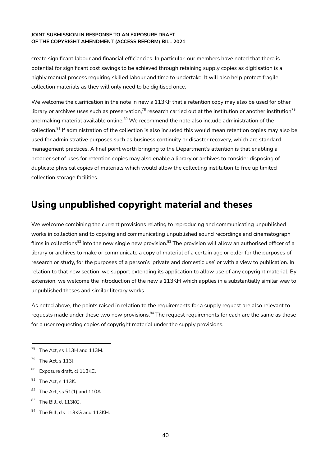create significant labour and financial efficiencies. In particular, our members have noted that there is potential for significant cost savings to be achieved through retaining supply copies as digitisation is a highly manual process requiring skilled labour and time to undertake. It will also help protect fragile collection materials as they will only need to be digitised once.

We welcome the clarification in the note in new s 113KF that a retention copy may also be used for other library or archives uses such as preservation, $^{78}$  research carried out at the institution or another institution $^{79}$ and making material available online.<sup>80</sup> We recommend the note also include administration of the collection.<sup>81</sup> If administration of the collection is also included this would mean retention copies may also be used for administrative purposes such as business continuity or disaster recovery, which are standard management practices. A final point worth bringing to the Department's attention is that enabling a broader set of uses for retention copies may also enable a library or archives to consider disposing of duplicate physical copies of materials which would allow the collecting institution to free up limited collection storage facilities.

## <span id="page-43-0"></span>**Using unpublished copyright material and theses**

We welcome combining the current provisions relating to reproducing and communicating unpublished works in collection and to copying and communicating unpublished sound recordings and cinematograph films in collections<sup>82</sup> into the new single new provision.<sup>83</sup> The provision will allow an authorised officer of a library or archives to make or communicate a copy of material of a certain age or older for the purposes of research or study, for the purposes of a person's 'private and domestic use' or with a view to publication. In relation to that new section, we support extending its application to allow use of any copyright material. By extension, we welcome the introduction of the new s 113KH which applies in a substantially similar way to unpublished theses and similar literary works.

As noted above, the points raised in relation to the requirements for a supply request are also relevant to requests made under these two new provisions.<sup>84</sup> The request requirements for each are the same as those for a user requesting copies of copyright material under the supply provisions.

- 80 Exposure draft, cl 113KC.
- $81$  The Act, s 113K.
- $82$  The Act, ss 51(1) and 110A.
- 83 The Bill, cl 113KG.
- 84 The Bill, cls 113KG and 113KH.

 $78$  The Act, ss 113H and 113M.

 $79$  The Act, s 113J.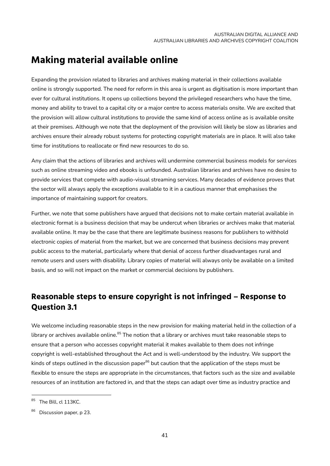## <span id="page-44-0"></span>**Making material available online**

Expanding the provision related to libraries and archives making material in their collections available online is strongly supported. The need for reform in this area is urgent as digitisation is more important than ever for cultural institutions. It opens up collections beyond the privileged researchers who have the time, money and ability to travel to a capital city or a major centre to access materials onsite. We are excited that the provision will allow cultural institutions to provide the same kind of access online as is available onsite at their premises. Although we note that the deployment of the provision will likely be slow as libraries and archives ensure their already robust systems for protecting copyright materials are in place. It will also take time for institutions to reallocate or find new resources to do so.

Any claim that the actions of libraries and archives will undermine commercial business models for services such as online streaming video and ebooks is unfounded. Australian libraries and archives have no desire to provide services that compete with audio-visual streaming services. Many decades of evidence proves that the sector will always apply the exceptions available to it in a cautious manner that emphasises the importance of maintaining support for creators.

Further, we note that some publishers have argued that decisions not to make certain material available in electronic format is a business decision that may be undercut when libraries or archives make that material available online. It may be the case that there are legitimate business reasons for publishers to withhold electronic copies of material from the market, but we are concerned that business decisions may prevent public access to the material, particularly where that denial of access further disadvantages rural and remote users and users with disability. Library copies of material will always only be available on a limited basis, and so will not impact on the market or commercial decisions by publishers.

### <span id="page-44-1"></span>**Reasonable steps to ensure copyright is not infringed – Response to Question 3.1**

We welcome including reasonable steps in the new provision for making material held in the collection of a library or archives available online.<sup>85</sup> The notion that a library or archives must take reasonable steps to ensure that a person who accesses copyright material it makes available to them does not infringe copyright is well-established throughout the Act and is well-understood by the industry. We support the kinds of steps outlined in the discussion paper<sup>86</sup> but caution that the application of the steps must be flexible to ensure the steps are appropriate in the circumstances, that factors such as the size and available resources of an institution are factored in, and that the steps can adapt over time as industry practice and

<sup>85</sup> The Bill, cl 113KC.

<sup>86</sup> Discussion paper, p 23.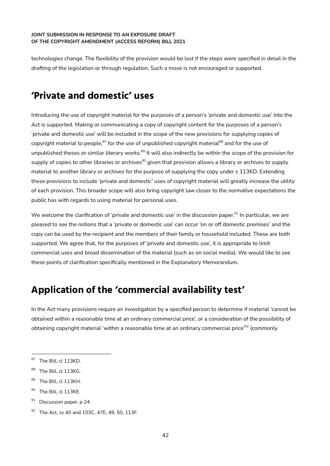technologies change. The flexibility of the provision would be lost if the steps were specified in detail in the drafting of the legislation or through regulation. Such a move is not encouraged or supported.

## <span id="page-45-0"></span>**'Private and domestic' uses**

Introducing the use of copyright material for the purposes of a person's 'private and domestic use' into the Act is supported. Making or communicating a copy of copyright content for the purposes of a person's 'private and domestic use' will be included in the scope of the new provisions for supplying copies of copyright material to people,<sup>87</sup> for the use of unpublished copyright material<sup>88</sup> and for the use of unpublished theses or similar literary works.<sup>89</sup> It will also indirectly be within the scope of the provision for supply of copies to other libraries or archives<sup>90</sup> given that provision allows a library or archives to supply material to another library or archives for the purpose of supplying the copy under s 113KD. Extending these provisions to include 'private and domestic' uses of copyright material will greatly increase the utility of each provision. This broader scope will also bring copyright law closer to the normative expectations the public has with regards to using material for personal uses.

We welcome the clarification of 'private and domestic use' in the discussion paper.<sup>91</sup> In particular, we are pleased to see the notions that a 'private or domestic use' can occur 'on or off domestic premises' and the copy can be used by the recipient and the members of their family or household included. These are both supported. We agree that, for the purposes of 'private and domestic use', it is appropriate to limit commercial uses and broad dissemination of the material (such as on social media). We would like to see these points of clarification specifically mentioned in the Explanatory Memorandum.

## <span id="page-45-1"></span>**Application of the 'commercial availability test'**

In the Act many provisions require an investigation by a specified person to determine if material 'cannot be obtained within a reasonable time at an ordinary commercial price', or a consideration of the possibility of obtaining copyright material 'within a reasonable time at an ordinary commercial price'<sup>92</sup> (commonly

- 89 The Bill, cl 113KH.
- <sup>90</sup> The Bill, cl 113KE.
- $91$  Discussion paper, p 24.

<sup>&</sup>lt;sup>87</sup> The Bill, cl 113KD.

<sup>88</sup> The Bill, cl 113KG.

<sup>92</sup> The Act, ss 40 and 103C, 47E, 49, 50, 113F.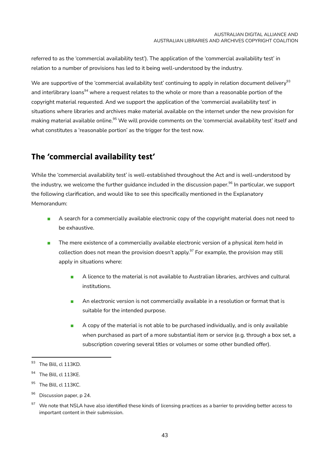referred to as the 'commercial availability test'). The application of the 'commercial availability test' in relation to a number of provisions has led to it being well-understood by the industry.

We are supportive of the 'commercial availability test' continuing to apply in relation document delivery $^{\rm 93}$ and interlibrary loans<sup>94</sup> where a request relates to the whole or more than a reasonable portion of the copyright material requested. And we support the application of the 'commercial availability test' in situations where libraries and archives make material available on the internet under the new provision for making material available online.<sup>95</sup> We will provide comments on the 'commercial availability test' itself and what constitutes a 'reasonable portion' as the trigger for the test now.

### <span id="page-46-0"></span>**The 'commercial availability test'**

While the 'commercial availability test' is well-established throughout the Act and is well-understood by the industry, we welcome the further guidance included in the discussion paper.<sup>96</sup> In particular, we support the following clarification, and would like to see this specifically mentioned in the Explanatory Memorandum:

- A search for a commercially available electronic copy of the copyright material does not need to be exhaustive.
- The mere existence of a commercially available electronic version of a physical item held in collection does not mean the provision doesn't apply.<sup>97</sup> For example, the provision may still apply in situations where:
	- A licence to the material is not available to Australian libraries, archives and cultural institutions.
	- An electronic version is not commercially available in a resolution or format that is suitable for the intended purpose.
	- A copy of the material is not able to be purchased individually, and is only available when purchased as part of a more substantial item or service (e.g. through a box set, a subscription covering several titles or volumes or some other bundled offer).

<sup>&</sup>lt;sup>93</sup> The Bill, cl 113KD.

<sup>&</sup>lt;sup>94</sup> The Bill, cl 113KE.

<sup>&</sup>lt;sup>95</sup> The Bill, cl 113KC.

<sup>&</sup>lt;sup>96</sup> Discussion paper, p 24.

 $97$  We note that NSLA have also identified these kinds of licensing practices as a barrier to providing better access to important content in their submission.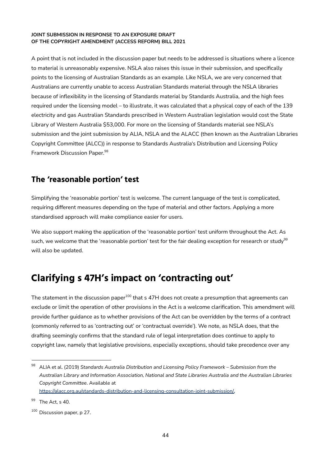A point that is not included in the discussion paper but needs to be addressed is situations where a licence to material is unreasonably expensive. NSLA also raises this issue in their submission, and specifically points to the licensing of Australian Standards as an example. Like NSLA, we are very concerned that Australians are currently unable to access Australian Standards material through the NSLA libraries because of inflexibility in the licensing of Standards material by Standards Australia, and the high fees required under the licensing model – to illustrate, it was calculated that a physical copy of each of the 139 electricity and gas Australian Standards prescribed in Western Australian legislation would cost the State Library of Western Australia \$53,000. For more on the licensing of Standards material see NSLA's submission and the joint submission by ALIA, NSLA and the ALACC (then known as the Australian Libraries Copyright Committee (ALCC)) in response to Standards Australia's Distribution and Licensing Policy Framework Discussion Paper. 98

### <span id="page-47-0"></span>**The 'reasonable portion' test**

Simplifying the 'reasonable portion' test is welcome. The current language of the test is complicated, requiring different measures depending on the type of material and other factors. Applying a more standardised approach will make compliance easier for users.

We also support making the application of the 'reasonable portion' test uniform throughout the Act. As such, we welcome that the 'reasonable portion' test for the fair dealing exception for research or study $^{99}$ will also be updated.

## <span id="page-47-1"></span>**Clarifying s 47H's impact on 'contracting out'**

The statement in the discussion paper $^{100}$  that s 47H does not create a presumption that agreements can exclude or limit the operation of other provisions in the Act is a welcome clarification. This amendment will provide further guidance as to whether provisions of the Act can be overridden by the terms of a contract (commonly referred to as 'contracting out' or 'contractual override'). We note, as NSLA does, that the drafting seemingly confirms that the standard rule of legal interpretation does continue to apply to copyright law, namely that legislative provisions, especially exceptions, should take precedence over any

<sup>98</sup> ALIA et al. (2019) *Standards Australia Distribution and Licensing Policy Framework – Submission from the Australian Library and Information Association, National and State Libraries Australia and the Australian Libraries Copyright Committee*. Available at

<https://alacc.org.au/standards-distribution-and-licensing-consultation-joint-submission/>**.**

<sup>99</sup> The Act, s 40.

<sup>&</sup>lt;sup>100</sup> Discussion paper, p 27.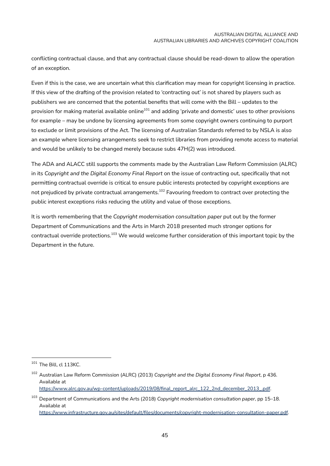conflicting contractual clause, and that any contractual clause should be read-down to allow the operation of an exception.

Even if this is the case, we are uncertain what this clarification may mean for copyright licensing in practice. If this view of the drafting of the provision related to 'contracting out' is not shared by players such as publishers we are concerned that the potential benefits that will come with the Bill – updates to the provision for making material available online<sup>101</sup> and adding 'private and domestic' uses to other provisions for example – may be undone by licensing agreements from some copyright owners continuing to purport to exclude or limit provisions of the Act. The licensing of Australian Standards referred to by NSLA is also an example where licensing arrangements seek to restrict libraries from providing remote access to material and would be unlikely to be changed merely because subs 47H(2) was introduced.

The ADA and ALACC still supports the comments made by the Australian Law Reform Commission (ALRC) in its *Copyright and the Digital Economy Final Report* on the issue of contracting out, specifically that not permitting contractual override is critical to ensure public interests protected by copyright exceptions are not prejudiced by private contractual arrangements. $^{102}$  Favouring freedom to contract over protecting the public interest exceptions risks reducing the utility and value of those exceptions.

It is worth remembering that the *Copyright modernisation consultation paper* put out by the former Department of Communications and the Arts in March 2018 presented much stronger options for contractual override protections.<sup>103</sup> We would welcome further consideration of this important topic by the Department in the future.

<https://www.infrastructure.gov.au/sites/default/files/documents/copyright-modernisation-consultation-paper.pdf>.

<sup>101</sup> The Bill, cl 113KC.

<sup>102</sup> Australian Law Reform Commission (ALRC) (2013) *Copyright and the Digital Economy Final Report*, p 436. Available at

[https://www.alrc.gov.au/wp-content/uploads/2019/08/final\\_report\\_alrc\\_122\\_2nd\\_december\\_2013\\_.pdf](https://www.alrc.gov.au/wp-content/uploads/2019/08/final_report_alrc_122_2nd_december_2013_.pdf).

<sup>103</sup> Department of Communications and the Arts (2018) *Copyright modernisation consultation paper*, pp 15–18. Available at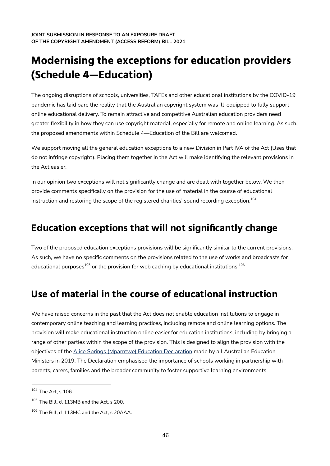# <span id="page-49-0"></span>**Modernising the exceptions for education providers (Schedule 4—Education)**

The ongoing disruptions of schools, universities, TAFEs and other educational institutions by the COVID-19 pandemic has laid bare the reality that the Australian copyright system was ill-equipped to fully support online educational delivery. To remain attractive and competitive Australian education providers need greater flexibility in how they can use copyright material, especially for remote and online learning. As such, the proposed amendments within Schedule 4—Education of the Bill are welcomed.

We support moving all the general education exceptions to a new Division in Part IVA of the Act (Uses that do not infringe copyright). Placing them together in the Act will make identifying the relevant provisions in the Act easier.

In our opinion two exceptions will not significantly change and are dealt with together below. We then provide comments specifically on the provision for the use of material in the course of educational instruction and restoring the scope of the registered charities' sound recording exception. $^{\rm 104}$ 

## <span id="page-49-1"></span>**Education exceptions that will not significantly change**

Two of the proposed education exceptions provisions will be significantly similar to the current provisions. As such, we have no specific comments on the provisions related to the use of works and broadcasts for educational purposes $^{105}$  or the provision for web caching by educational institutions. $^{106}\,$ 

## <span id="page-49-2"></span>**Use of material in the course of educational instruction**

We have raised concerns in the past that the Act does not enable education institutions to engage in contemporary online teaching and learning practices, including remote and online learning options. The provision will make educational instruction online easier for education institutions, including by bringing a range of other parties within the scope of the provision. This is designed to align the provision with the objectives of the Alice Springs [\(Mparntwe\)](https://www.dese.gov.au/alice-springs-mparntwe-education-declaration/resources/alice-springs-mparntwe-education-declaration) Education Declaration made by all Australian Education Ministers in 2019. The Declaration emphasised the importance of schools working in partnership with parents, carers, families and the broader community to foster supportive learning environments

<sup>104</sup> The Act, s 106.

<sup>&</sup>lt;sup>105</sup> The Bill, cl 113MB and the Act, s 200.

<sup>106</sup> The Bill, cl 113MC and the Act, s 20AAA.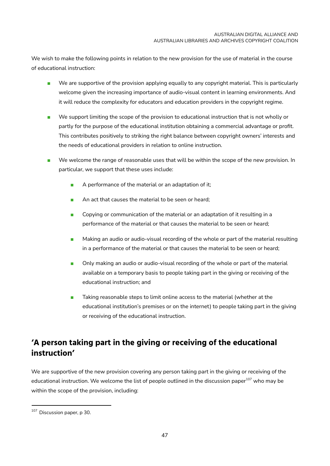We wish to make the following points in relation to the new provision for the use of material in the course of educational instruction:

- We are supportive of the provision applying equally to any copyright material. This is particularly welcome given the increasing importance of audio-visual content in learning environments. And it will reduce the complexity for educators and education providers in the copyright regime.
- We support limiting the scope of the provision to educational instruction that is not wholly or partly for the purpose of the educational institution obtaining a commercial advantage or profit. This contributes positively to striking the right balance between copyright owners' interests and the needs of educational providers in relation to online instruction.
- We welcome the range of reasonable uses that will be within the scope of the new provision. In particular, we support that these uses include:
	- A performance of the material or an adaptation of it;
	- An act that causes the material to be seen or heard:
	- Copying or communication of the material or an adaptation of it resulting in a performance of the material or that causes the material to be seen or heard;
	- Making an audio or audio-visual recording of the whole or part of the material resulting in a performance of the material or that causes the material to be seen or heard;
	- Only making an audio or audio-visual recording of the whole or part of the material available on a temporary basis to people taking part in the giving or receiving of the educational instruction; and
	- Taking reasonable steps to limit online access to the material (whether at the educational institution's premises or on the internet) to people taking part in the giving or receiving of the educational instruction.

## <span id="page-50-0"></span>**'A person taking part in the giving or receiving of the educational instruction'**

We are supportive of the new provision covering any person taking part in the giving or receiving of the educational instruction. We welcome the list of people outlined in the discussion paper<sup>107</sup> who may be within the scope of the provision, including:

<sup>107</sup> Discussion paper, p 30.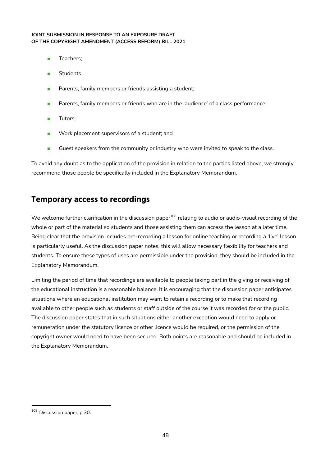- Teachers;
- Students
- Parents, family members or friends assisting a student;
- Parents, family members or friends who are in the 'audience' of a class performance;
- Tutors;
- Work placement supervisors of a student; and
- Guest speakers from the community or industry who were invited to speak to the class.

To avoid any doubt as to the application of the provision in relation to the parties listed above, we strongly recommend those people be specifically included in the Explanatory Memorandum.

### <span id="page-51-0"></span>**Temporary access to recordings**

We welcome further clarification in the discussion paper<sup>108</sup> relating to audio or audio-visual recording of the whole or part of the material so students and those assisting them can access the lesson at a later time. Being clear that the provision includes pre-recording a lesson for online teaching or recording a 'live' lesson is particularly useful. As the discussion paper notes, this will allow necessary flexibility for teachers and students. To ensure these types of uses are permissible under the provision, they should be included in the Explanatory Memorandum.

Limiting the period of time that recordings are available to people taking part in the giving or receiving of the educational instruction is a reasonable balance. It is encouraging that the discussion paper anticipates situations where an educational institution may want to retain a recording or to make that recording available to other people such as students or staff outside of the course it was recorded for or the public. The discussion paper states that in such situations either another exception would need to apply or remuneration under the statutory licence or other licence would be required, or the permission of the copyright owner would need to have been secured. Both points are reasonable and should be included in the Explanatory Memorandum.

<sup>&</sup>lt;sup>108</sup> Discussion paper, p 30.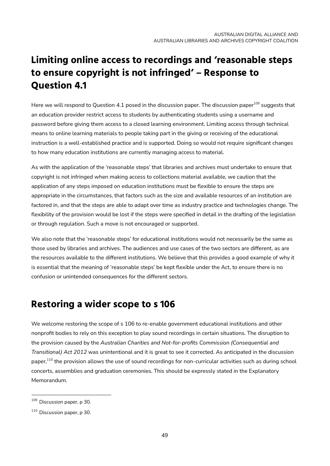## **Limiting online access to recordings and 'reasonable steps to ensure copyright is not infringed' – Response to Question 4.1**

<span id="page-52-0"></span>Here we will respond to Question 4.1 posed in the discussion paper. The discussion paper <sup>109</sup> suggests that an education provider restrict access to students by authenticating students using a username and password before giving them access to a closed learning environment. Limiting access through technical means to online learning materials to people taking part in the giving or receiving of the educational instruction is a well-established practice and is supported. Doing so would not require significant changes to how many education institutions are currently managing access to material.

As with the application of the 'reasonable steps' that libraries and archives must undertake to ensure that copyright is not infringed when making access to collections material available, we caution that the application of any steps imposed on education institutions must be flexible to ensure the steps are appropriate in the circumstances, that factors such as the size and available resources of an institution are factored in, and that the steps are able to adapt over time as industry practice and technologies change. The flexibility of the provision would be lost if the steps were specified in detail in the drafting of the legislation or through regulation. Such a move is not encouraged or supported.

We also note that the 'reasonable steps' for educational institutions would not necessarily be the same as those used by libraries and archives. The audiences and use cases of the two sectors are different, as are the resources available to the different institutions. We believe that this provides a good example of why it is essential that the meaning of 'reasonable steps' be kept flexible under the Act, to ensure there is no confusion or unintended consequences for the different sectors.

## <span id="page-52-1"></span>**Restoring a wider scope to s 106**

We welcome restoring the scope of s 106 to re-enable government educational institutions and other nonprofit bodies to rely on this exception to play sound recordings in certain situations. The disruption to the provision caused by the *Australian Charities and Not-for-profits Commission (Consequential and Transitional) Act 2012* was unintentional and it is great to see it corrected. As anticipated in the discussion paper,<sup>110</sup> the provision allows the use of sound recordings for non-curricular activities such as during school concerts, assemblies and graduation ceremonies. This should be expressly stated in the Explanatory Memorandum.

<sup>109</sup> Discussion paper, p 30.

 $110$  Discussion paper, p 30.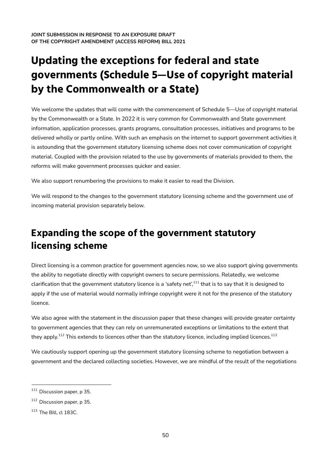# **Updating the exceptions for federal and state governments (Schedule 5—Use of copyright material by the Commonwealth or a State)**

<span id="page-53-0"></span>We welcome the updates that will come with the commencement of Schedule 5—Use of copyright material by the Commonwealth or a State. In 2022 it is very common for Commonwealth and State government information, application processes, grants programs, consultation processes, initiatives and programs to be delivered wholly or partly online. With such an emphasis on the internet to support government activities it is astounding that the government statutory licensing scheme does not cover communication of copyright material. Coupled with the provision related to the use by governments of materials provided to them, the reforms will make government processes quicker and easier.

We also support renumbering the provisions to make it easier to read the Division.

We will respond to the changes to the government statutory licensing scheme and the government use of incoming material provision separately below.

## <span id="page-53-1"></span>**Expanding the scope of the government statutory licensing scheme**

Direct licensing is a common practice for government agencies now, so we also support giving governments the ability to negotiate directly with copyright owners to secure permissions. Relatedly, we welcome clarification that the government statutory licence is a 'safety net',<sup>111</sup> that is to say that it is designed to apply if the use of material would normally infringe copyright were it not for the presence of the statutory licence.

We also agree with the statement in the discussion paper that these changes will provide greater certainty to government agencies that they can rely on unremunerated exceptions or limitations to the extent that they apply. $^{112}$  This extends to licences other than the statutory licence, including implied licences. $^{113}$ 

We cautiously support opening up the government statutory licensing scheme to negotiation between a government and the declared collecting societies. However, we are mindful of the result of the negotiations

<sup>&</sup>lt;sup>111</sup> Discussion paper, p 35.

<sup>112</sup> Discussion paper, p 35.

<sup>113</sup> The Bill, cl 183C.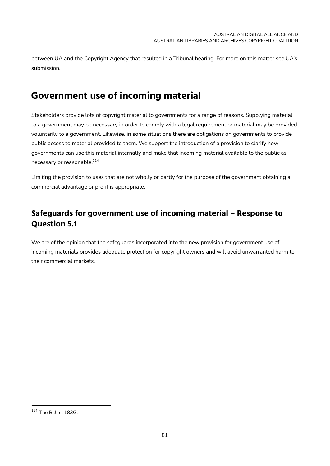between UA and the Copyright Agency that resulted in a Tribunal hearing. For more on this matter see UA's submission.

## <span id="page-54-0"></span>**Government use of incoming material**

Stakeholders provide lots of copyright material to governments for a range of reasons. Supplying material to a government may be necessary in order to comply with a legal requirement or material may be provided voluntarily to a government. Likewise, in some situations there are obligations on governments to provide public access to material provided to them. We support the introduction of a provision to clarify how governments can use this material internally and make that incoming material available to the public as necessary or reasonable.<sup>114</sup>

Limiting the provision to uses that are not wholly or partly for the purpose of the government obtaining a commercial advantage or profit is appropriate.

### <span id="page-54-1"></span>**Safeguards for government use of incoming material – Response to Question 5.1**

We are of the opinion that the safeguards incorporated into the new provision for government use of incoming materials provides adequate protection for copyright owners and will avoid unwarranted harm to their commercial markets.

<sup>114</sup> The Bill, cl 183G.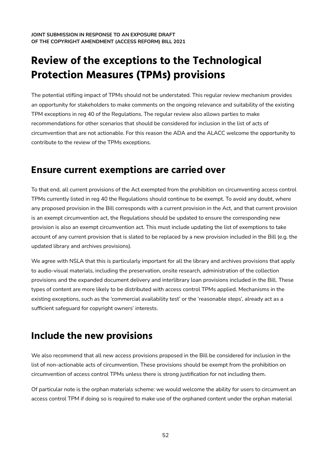# <span id="page-55-0"></span>**Review of the exceptions to the Technological Protection Measures (TPMs) provisions**

The potential stifling impact of TPMs should not be understated. This regular review mechanism provides an opportunity for stakeholders to make comments on the ongoing relevance and suitability of the existing TPM exceptions in reg 40 of the Regulations. The regular review also allows parties to make recommendations for other scenarios that should be considered for inclusion in the list of acts of circumvention that are not actionable. For this reason the ADA and the ALACC welcome the opportunity to contribute to the review of the TPMs exceptions.

### <span id="page-55-1"></span>**Ensure current exemptions are carried over**

To that end, all current provisions of the Act exempted from the prohibition on circumventing access control TPMs currently listed in reg 40 the Regulations should continue to be exempt. To avoid any doubt, where any proposed provision in the Bill corresponds with a current provision in the Act, and that current provision is an exempt circumvention act, the Regulations should be updated to ensure the corresponding new provision is also an exempt circumvention act. This must include updating the list of exemptions to take account of any current provision that is slated to be replaced by a new provision included in the Bill (e.g. the updated library and archives provisions).

We agree with NSLA that this is particularly important for all the library and archives provisions that apply to audio-visual materials, including the preservation, onsite research, administration of the collection provisions and the expanded document delivery and interlibrary loan provisions included in the Bill. These types of content are more likely to be distributed with access control TPMs applied. Mechanisms in the existing exceptions, such as the 'commercial availability test' or the 'reasonable steps', already act as a sufficient safeguard for copyright owners' interests.

## <span id="page-55-2"></span>**Include the new provisions**

We also recommend that all new access provisions proposed in the Bill be considered for inclusion in the list of non-actionable acts of circumvention. These provisions should be exempt from the prohibition on circumvention of access control TPMs unless there is strong justification for not including them.

Of particular note is the orphan materials scheme: we would welcome the ability for users to circumvent an access control TPM if doing so is required to make use of the orphaned content under the orphan material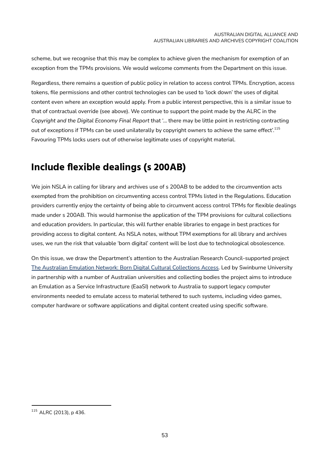scheme, but we recognise that this may be complex to achieve given the mechanism for exemption of an exception from the TPMs provisions. We would welcome comments from the Department on this issue.

Regardless, there remains a question of public policy in relation to access control TPMs. Encryption, access tokens, file permissions and other control technologies can be used to 'lock down' the uses of digital content even where an exception would apply. From a public interest perspective, this is a similar issue to that of contractual override (see above). We continue to support the point made by the ALRC in the *Copyright and the Digital Economy Final Report* that '... there may be little point in restricting contracting out of exceptions if TPMs can be used unilaterally by copyright owners to achieve the same effect'. $^{\rm 115}$ Favouring TPMs locks users out of otherwise legitimate uses of copyright material.

## <span id="page-56-0"></span>**Include flexible dealings (s 200AB)**

We join NSLA in calling for library and archives use of s 200AB to be added to the circumvention acts exempted from the prohibition on circumventing access control TPMs listed in the Regulations. Education providers currently enjoy the certainty of being able to circumvent access control TPMs for flexible dealings made under s 200AB. This would harmonise the application of the TPM provisions for cultural collections and education providers. In particular, this will further enable libraries to engage in best practices for providing access to digital content. As NSLA notes, without TPM exemptions for all library and archives uses, we run the risk that valuable 'born digital' content will be lost due to technological obsolescence.

On this issue, we draw the Department's attention to the Australian Research Council-supported project The Australian Emulation Network: Born Digital Cultural [Collections](https://www.swinburne.edu.au/news/2022/01/national-funding-success-for-swinburne-researchers/) Access. Led by Swinburne University in partnership with a number of Australian universities and collecting bodies the project aims to introduce an Emulation as a Service Infrastructure (EaaSI) network to Australia to support legacy computer environments needed to emulate access to material tethered to such systems, including video games, computer hardware or software applications and digital content created using specific software.

<sup>115</sup> ALRC (2013), p 436.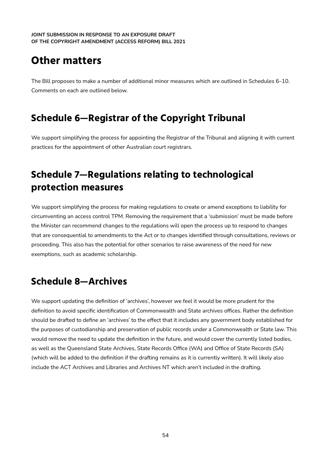## <span id="page-57-0"></span>**Other matters**

The Bill proposes to make a number of additional minor measures which are outlined in Schedules 6–10. Comments on each are outlined below.

## <span id="page-57-1"></span>**Schedule 6—Registrar of the Copyright Tribunal**

We support simplifying the process for appointing the Registrar of the Tribunal and aligning it with current practices for the appointment of other Australian court registrars.

## <span id="page-57-2"></span>**Schedule 7—Regulations relating to technological protection measures**

We support simplifying the process for making regulations to create or amend exceptions to liability for circumventing an access control TPM. Removing the requirement that a 'submission' must be made before the Minister can recommend changes to the regulations will open the process up to respond to changes that are consequential to amendments to the Act or to changes identified through consultations, reviews or proceeding. This also has the potential for other scenarios to raise awareness of the need for new exemptions, such as academic scholarship.

## <span id="page-57-3"></span>**Schedule 8—Archives**

We support updating the definition of 'archives', however we feel it would be more prudent for the definition to avoid specific identification of Commonwealth and State archives offices. Rather the definition should be drafted to define an 'archives' to the effect that it includes any government body established for the purposes of custodianship and preservation of public records under a Commonwealth or State law. This would remove the need to update the definition in the future, and would cover the currently listed bodies, as well as the Queensland State Archives, State Records Office (WA) and Office of State Records (SA) (which will be added to the definition if the drafting remains as it is currently written). It will likely also include the ACT Archives and Libraries and Archives NT which aren't included in the drafting.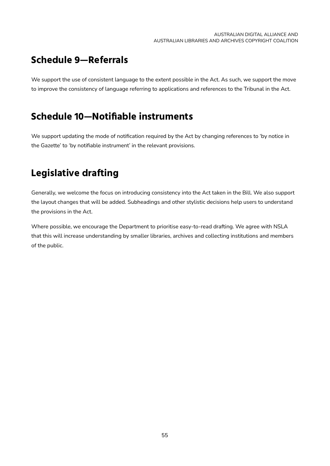## <span id="page-58-0"></span>**Schedule 9—Referrals**

We support the use of consistent language to the extent possible in the Act. As such, we support the move to improve the consistency of language referring to applications and references to the Tribunal in the Act.

## <span id="page-58-1"></span>**Schedule 10—Notifiable instruments**

We support updating the mode of notification required by the Act by changing references to 'by notice in the Gazette' to 'by notifiable instrument' in the relevant provisions.

## <span id="page-58-2"></span>**Legislative drafting**

Generally, we welcome the focus on introducing consistency into the Act taken in the Bill. We also support the layout changes that will be added. Subheadings and other stylistic decisions help users to understand the provisions in the Act.

Where possible, we encourage the Department to prioritise easy-to-read drafting. We agree with NSLA that this will increase understanding by smaller libraries, archives and collecting institutions and members of the public.